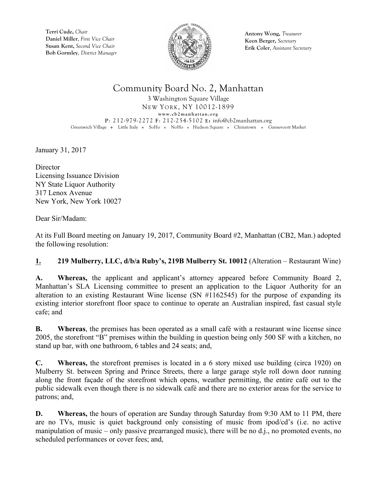

**Antony Wong,** *Treasurer* **Keen Berger,** *Secretary* **Erik Coler**, *Assistant Secretary*

## Community Board No. 2, Manhattan

3 Washington Square Village NEW YORK, NY 10012-1899 **www.cb2manhattan.org P**: 212-979-2272 **F**: 212-254-5102 **E:** info@cb2manhattan.org Greenwich Village • Little Italy • SoHo • NoHo • Hudson Square • Chinatown • Gansevoort Market

January 31, 2017

**Director** Licensing Issuance Division NY State Liquor Authority 317 Lenox Avenue New York, New York 10027

Dear Sir/Madam:

At its Full Board meeting on January 19, 2017, Community Board #2, Manhattan (CB2, Man.) adopted the following resolution:

### **1. 219 Mulberry, LLC, d/b/a Ruby's, 219B Mulberry St. 10012** (Alteration – Restaurant Wine)

**A. Whereas,** the applicant and applicant's attorney appeared before Community Board 2, Manhattan's SLA Licensing committee to present an application to the Liquor Authority for an alteration to an existing Restaurant Wine license (SN #1162545) for the purpose of expanding its existing interior storefront floor space to continue to operate an Australian inspired, fast casual style cafe; and

**B. Whereas**, the premises has been operated as a small café with a restaurant wine license since 2005, the storefront "B" premises within the building in question being only 500 SF with a kitchen, no stand up bar, with one bathroom, 6 tables and 24 seats; and,

**C. Whereas,** the storefront premises is located in a 6 story mixed use building (circa 1920) on Mulberry St. between Spring and Prince Streets, there a large garage style roll down door running along the front façade of the storefront which opens, weather permitting, the entire café out to the public sidewalk even though there is no sidewalk café and there are no exterior areas for the service to patrons; and,

**D. Whereas,** the hours of operation are Sunday through Saturday from 9:30 AM to 11 PM, there are no TVs, music is quiet background only consisting of music from ipod/cd's (i.e. no active manipulation of music – only passive prearranged music), there will be no d.j., no promoted events, no scheduled performances or cover fees; and,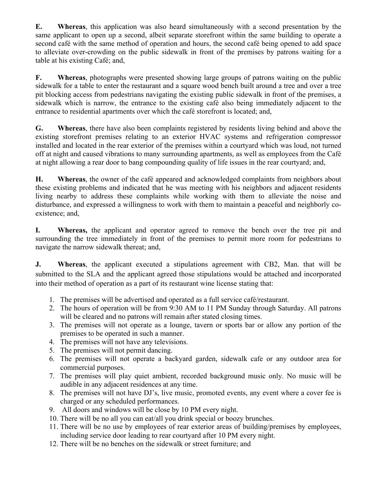**E. Whereas**, this application was also heard simultaneously with a second presentation by the same applicant to open up a second, albeit separate storefront within the same building to operate a second café with the same method of operation and hours, the second café being opened to add space to alleviate over-crowding on the public sidewalk in front of the premises by patrons waiting for a table at his existing Café; and,

**F. Whereas**, photographs were presented showing large groups of patrons waiting on the public sidewalk for a table to enter the restaurant and a square wood bench built around a tree and over a tree pit blocking access from pedestrians navigating the existing public sidewalk in front of the premises, a sidewalk which is narrow, the entrance to the existing café also being immediately adjacent to the entrance to residential apartments over which the café storefront is located; and,

**G. Whereas**, there have also been complaints registered by residents living behind and above the existing storefront premises relating to an exterior HVAC systems and refrigeration compressor installed and located in the rear exterior of the premises within a courtyard which was loud, not turned off at night and caused vibrations to many surrounding apartments, as well as employees from the Café at night allowing a rear door to bang compounding quality of life issues in the rear courtyard; and,

**H. Whereas**, the owner of the café appeared and acknowledged complaints from neighbors about these existing problems and indicated that he was meeting with his neighbors and adjacent residents living nearby to address these complaints while working with them to alleviate the noise and disturbance, and expressed a willingness to work with them to maintain a peaceful and neighborly coexistence; and,

**I. Whereas,** the applicant and operator agreed to remove the bench over the tree pit and surrounding the tree immediately in front of the premises to permit more room for pedestrians to navigate the narrow sidewalk thereat; and,

**J. Whereas**, the applicant executed a stipulations agreement with CB2, Man. that will be submitted to the SLA and the applicant agreed those stipulations would be attached and incorporated into their method of operation as a part of its restaurant wine license stating that:

- 1. The premises will be advertised and operated as a full service café/restaurant.
- 2. The hours of operation will be from 9:30 AM to 11 PM Sunday through Saturday. All patrons will be cleared and no patrons will remain after stated closing times.
- 3. The premises will not operate as a lounge, tavern or sports bar or allow any portion of the premises to be operated in such a manner.
- 4. The premises will not have any televisions.
- 5. The premises will not permit dancing.
- 6. The premises will not operate a backyard garden, sidewalk cafe or any outdoor area for commercial purposes.
- 7. The premises will play quiet ambient, recorded background music only. No music will be audible in any adjacent residences at any time.
- 8. The premises will not have DJ's, live music, promoted events, any event where a cover fee is charged or any scheduled performances.
- 9. All doors and windows will be close by 10 PM every night.
- 10. There will be no all you can eat/all you drink special or boozy brunches.
- 11. There will be no use by employees of rear exterior areas of building/premises by employees, including service door leading to rear courtyard after 10 PM every night.
- 12. There will be no benches on the sidewalk or street furniture; and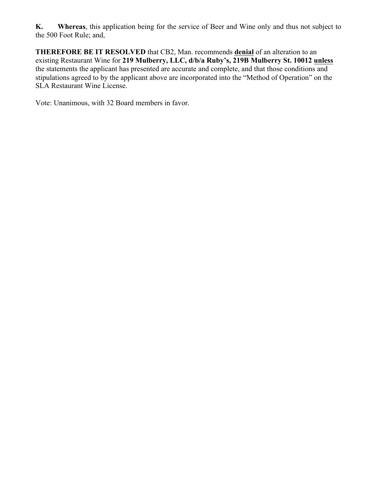**K. Whereas**, this application being for the service of Beer and Wine only and thus not subject to the 500 Foot Rule; and,

**THEREFORE BE IT RESOLVED** that CB2, Man. recommends **denial** of an alteration to an existing Restaurant Wine for **219 Mulberry, LLC, d/b/a Ruby's, 219B Mulberry St. 10012 unless** the statements the applicant has presented are accurate and complete, and that those conditions and stipulations agreed to by the applicant above are incorporated into the "Method of Operation" on the SLA Restaurant Wine License.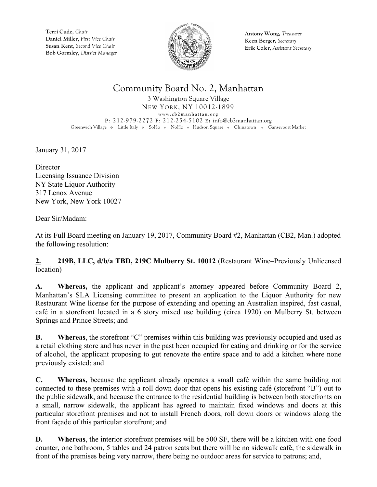

**Antony Wong,** *Treasurer* **Keen Berger,** *Secretary* **Erik Coler**, *Assistant Secretary*

## Community Board No. 2, Manhattan

3 Washington Square Village NEW YORK, NY 10012-1899 **www.cb2manhattan.org P**: 212-979-2272 **F**: 212-254-5102 **E:** info@cb2manhattan.org Greenwich Village • Little Italy • SoHo • NoHo • Hudson Square • Chinatown • Gansevoort Market

January 31, 2017

**Director** Licensing Issuance Division NY State Liquor Authority 317 Lenox Avenue New York, New York 10027

Dear Sir/Madam:

At its Full Board meeting on January 19, 2017, Community Board #2, Manhattan (CB2, Man.) adopted the following resolution:

**2. 219B, LLC, d/b/a TBD, 219C Mulberry St. 10012** (Restaurant Wine–Previously Unlicensed location)

**A. Whereas,** the applicant and applicant's attorney appeared before Community Board 2, Manhattan's SLA Licensing committee to present an application to the Liquor Authority for new Restaurant Wine license for the purpose of extending and opening an Australian inspired, fast casual, café in a storefront located in a 6 story mixed use building (circa 1920) on Mulberry St. between Springs and Prince Streets; and

**B. Whereas**, the storefront "C" premises within this building was previously occupied and used as a retail clothing store and has never in the past been occupied for eating and drinking or for the service of alcohol, the applicant proposing to gut renovate the entire space and to add a kitchen where none previously existed; and

**C. Whereas,** because the applicant already operates a small café within the same building not connected to these premises with a roll down door that opens his existing café (storefront "B") out to the public sidewalk, and because the entrance to the residential building is between both storefronts on a small, narrow sidewalk, the applicant has agreed to maintain fixed windows and doors at this particular storefront premises and not to install French doors, roll down doors or windows along the front façade of this particular storefront; and

**D. Whereas**, the interior storefront premises will be 500 SF, there will be a kitchen with one food counter, one bathroom, 5 tables and 24 patron seats but there will be no sidewalk café, the sidewalk in front of the premises being very narrow, there being no outdoor areas for service to patrons; and,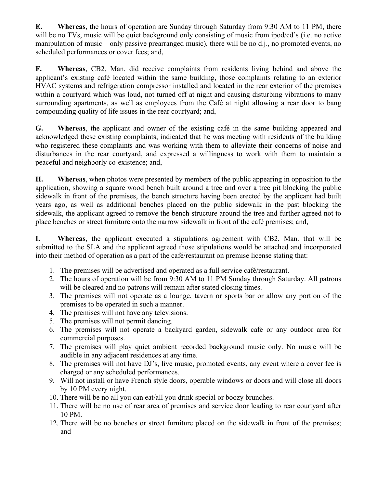**E. Whereas**, the hours of operation are Sunday through Saturday from 9:30 AM to 11 PM, there will be no TVs, music will be quiet background only consisting of music from ipod/cd's (i.e. no active manipulation of music – only passive prearranged music), there will be no d.j., no promoted events, no scheduled performances or cover fees; and,

**F. Whereas**, CB2, Man. did receive complaints from residents living behind and above the applicant's existing café located within the same building, those complaints relating to an exterior HVAC systems and refrigeration compressor installed and located in the rear exterior of the premises within a courtyard which was loud, not turned off at night and causing disturbing vibrations to many surrounding apartments, as well as employees from the Café at night allowing a rear door to bang compounding quality of life issues in the rear courtyard; and,

**G. Whereas**, the applicant and owner of the existing café in the same building appeared and acknowledged these existing complaints, indicated that he was meeting with residents of the building who registered these complaints and was working with them to alleviate their concerns of noise and disturbances in the rear courtyard, and expressed a willingness to work with them to maintain a peaceful and neighborly co-existence; and,

**H. Whereas**, when photos were presented by members of the public appearing in opposition to the application, showing a square wood bench built around a tree and over a tree pit blocking the public sidewalk in front of the premises, the bench structure having been erected by the applicant had built years ago, as well as additional benches placed on the public sidewalk in the past blocking the sidewalk, the applicant agreed to remove the bench structure around the tree and further agreed not to place benches or street furniture onto the narrow sidewalk in front of the café premises; and,

**I. Whereas**, the applicant executed a stipulations agreement with CB2, Man. that will be submitted to the SLA and the applicant agreed those stipulations would be attached and incorporated into their method of operation as a part of the café/restaurant on premise license stating that:

- 1. The premises will be advertised and operated as a full service café/restaurant.
- 2. The hours of operation will be from 9:30 AM to 11 PM Sunday through Saturday. All patrons will be cleared and no patrons will remain after stated closing times.
- 3. The premises will not operate as a lounge, tavern or sports bar or allow any portion of the premises to be operated in such a manner.
- 4. The premises will not have any televisions.
- 5. The premises will not permit dancing.
- 6. The premises will not operate a backyard garden, sidewalk cafe or any outdoor area for commercial purposes.
- 7. The premises will play quiet ambient recorded background music only. No music will be audible in any adjacent residences at any time.
- 8. The premises will not have DJ's, live music, promoted events, any event where a cover fee is charged or any scheduled performances.
- 9. Will not install or have French style doors, operable windows or doors and will close all doors by 10 PM every night.
- 10. There will be no all you can eat/all you drink special or boozy brunches.
- 11. There will be no use of rear area of premises and service door leading to rear courtyard after 10 PM.
- 12. There will be no benches or street furniture placed on the sidewalk in front of the premises; and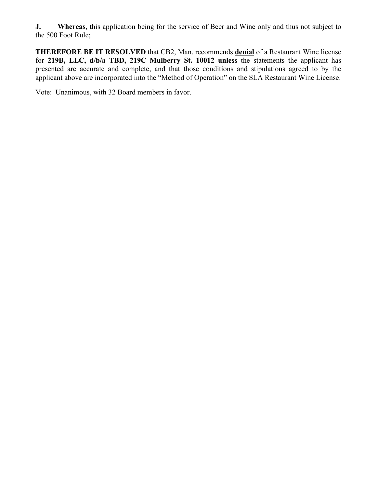**J. Whereas**, this application being for the service of Beer and Wine only and thus not subject to the 500 Foot Rule;

**THEREFORE BE IT RESOLVED** that CB2, Man. recommends **denial** of a Restaurant Wine license for **219B, LLC, d/b/a TBD, 219C Mulberry St. 10012 unless** the statements the applicant has presented are accurate and complete, and that those conditions and stipulations agreed to by the applicant above are incorporated into the "Method of Operation" on the SLA Restaurant Wine License.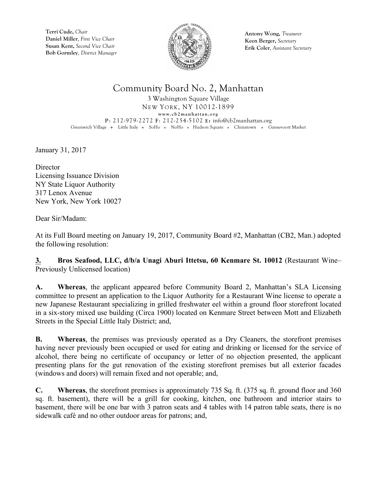

**Antony Wong,** *Treasurer* **Keen Berger,** *Secretary* **Erik Coler**, *Assistant Secretary*

## Community Board No. 2, Manhattan

3 Washington Square Village NEW YORK, NY 10012-1899 **www.cb2manhattan.org P**: 212-979-2272 **F**: 212-254-5102 **E:** info@cb2manhattan.org Greenwich Village • Little Italy • SoHo • NoHo • Hudson Square • Chinatown • Gansevoort Market

January 31, 2017

**Director** Licensing Issuance Division NY State Liquor Authority 317 Lenox Avenue New York, New York 10027

Dear Sir/Madam:

At its Full Board meeting on January 19, 2017, Community Board #2, Manhattan (CB2, Man.) adopted the following resolution:

**3. Bros Seafood, LLC, d/b/a Unagi Aburi Ittetsu, 60 Kenmare St. 10012** (Restaurant Wine– Previously Unlicensed location)

**A. Whereas**, the applicant appeared before Community Board 2, Manhattan's SLA Licensing committee to present an application to the Liquor Authority for a Restaurant Wine license to operate a new Japanese Restaurant specializing in grilled freshwater eel within a ground floor storefront located in a six-story mixed use building (Circa 1900) located on Kenmare Street between Mott and Elizabeth Streets in the Special Little Italy District; and,

**B. Whereas**, the premises was previously operated as a Dry Cleaners, the storefront premises having never previously been occupied or used for eating and drinking or licensed for the service of alcohol, there being no certificate of occupancy or letter of no objection presented, the applicant presenting plans for the gut renovation of the existing storefront premises but all exterior facades (windows and doors) will remain fixed and not operable; and,

**C. Whereas**, the storefront premises is approximately 735 Sq. ft. (375 sq. ft. ground floor and 360 sq. ft. basement), there will be a grill for cooking, kitchen, one bathroom and interior stairs to basement, there will be one bar with 3 patron seats and 4 tables with 14 patron table seats, there is no sidewalk café and no other outdoor areas for patrons; and,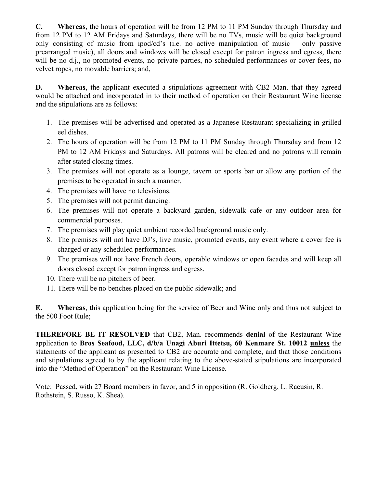**C. Whereas**, the hours of operation will be from 12 PM to 11 PM Sunday through Thursday and from 12 PM to 12 AM Fridays and Saturdays, there will be no TVs, music will be quiet background only consisting of music from ipod/cd's (i.e. no active manipulation of music – only passive prearranged music), all doors and windows will be closed except for patron ingress and egress, there will be no d.j., no promoted events, no private parties, no scheduled performances or cover fees, no velvet ropes, no movable barriers; and,

**D. Whereas**, the applicant executed a stipulations agreement with CB2 Man. that they agreed would be attached and incorporated in to their method of operation on their Restaurant Wine license and the stipulations are as follows:

- 1. The premises will be advertised and operated as a Japanese Restaurant specializing in grilled eel dishes.
- 2. The hours of operation will be from 12 PM to 11 PM Sunday through Thursday and from 12 PM to 12 AM Fridays and Saturdays. All patrons will be cleared and no patrons will remain after stated closing times.
- 3. The premises will not operate as a lounge, tavern or sports bar or allow any portion of the premises to be operated in such a manner.
- 4. The premises will have no televisions.
- 5. The premises will not permit dancing.
- 6. The premises will not operate a backyard garden, sidewalk cafe or any outdoor area for commercial purposes.
- 7. The premises will play quiet ambient recorded background music only.
- 8. The premises will not have DJ's, live music, promoted events, any event where a cover fee is charged or any scheduled performances.
- 9. The premises will not have French doors, operable windows or open facades and will keep all doors closed except for patron ingress and egress.
- 10. There will be no pitchers of beer.
- 11. There will be no benches placed on the public sidewalk; and

**E. Whereas**, this application being for the service of Beer and Wine only and thus not subject to the 500 Foot Rule;

**THEREFORE BE IT RESOLVED** that CB2, Man. recommends **denial** of the Restaurant Wine application to **Bros Seafood, LLC, d/b/a Unagi Aburi Ittetsu, 60 Kenmare St. 10012 unless** the statements of the applicant as presented to CB2 are accurate and complete, and that those conditions and stipulations agreed to by the applicant relating to the above-stated stipulations are incorporated into the "Method of Operation" on the Restaurant Wine License.

Vote: Passed, with 27 Board members in favor, and 5 in opposition (R. Goldberg, L. Racusin, R. Rothstein, S. Russo, K. Shea).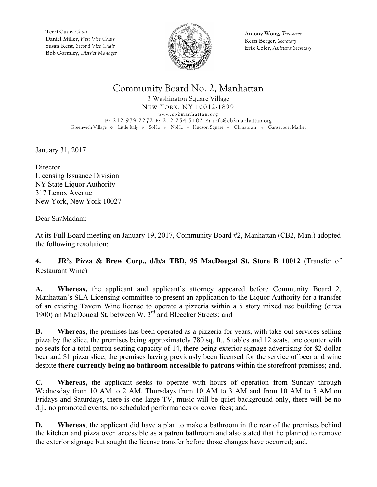

**Antony Wong,** *Treasurer* **Keen Berger,** *Secretary* **Erik Coler**, *Assistant Secretary*

## Community Board No. 2, Manhattan

3 Washington Square Village NEW YORK, NY 10012-1899 **www.cb2manhattan.org P**: 212-979-2272 **F**: 212-254-5102 **E:** info@cb2manhattan.org Greenwich Village • Little Italy • SoHo • NoHo • Hudson Square • Chinatown • Gansevoort Market

January 31, 2017

**Director** Licensing Issuance Division NY State Liquor Authority 317 Lenox Avenue New York, New York 10027

Dear Sir/Madam:

At its Full Board meeting on January 19, 2017, Community Board #2, Manhattan (CB2, Man.) adopted the following resolution:

### **4. JR's Pizza & Brew Corp., d/b/a TBD, 95 MacDougal St. Store B 10012** (Transfer of Restaurant Wine)

**A. Whereas,** the applicant and applicant's attorney appeared before Community Board 2, Manhattan's SLA Licensing committee to present an application to the Liquor Authority for a transfer of an existing Tavern Wine license to operate a pizzeria within a 5 story mixed use building (circa 1900) on MacDougal St. between W. 3rd and Bleecker Streets; and

**B. Whereas**, the premises has been operated as a pizzeria for years, with take-out services selling pizza by the slice, the premises being approximately 780 sq. ft., 6 tables and 12 seats, one counter with no seats for a total patron seating capacity of 14, there being exterior signage advertising for \$2 dollar beer and \$1 pizza slice, the premises having previously been licensed for the service of beer and wine despite **there currently being no bathroom accessible to patrons** within the storefront premises; and,

**C. Whereas,** the applicant seeks to operate with hours of operation from Sunday through Wednesday from 10 AM to 2 AM, Thursdays from 10 AM to 3 AM and from 10 AM to 5 AM on Fridays and Saturdays, there is one large TV, music will be quiet background only, there will be no d.j., no promoted events, no scheduled performances or cover fees; and,

**D. Whereas**, the applicant did have a plan to make a bathroom in the rear of the premises behind the kitchen and pizza oven accessible as a patron bathroom and also stated that he planned to remove the exterior signage but sought the license transfer before those changes have occurred; and.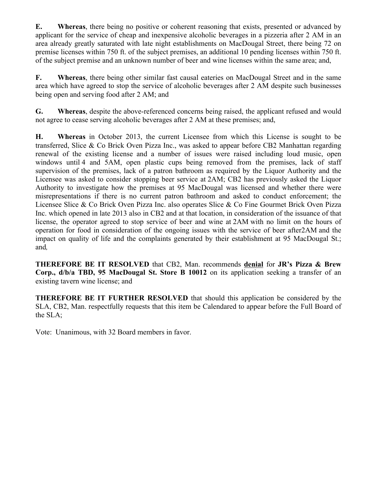**E. Whereas**, there being no positive or coherent reasoning that exists, presented or advanced by applicant for the service of cheap and inexpensive alcoholic beverages in a pizzeria after 2 AM in an area already greatly saturated with late night establishments on MacDougal Street, there being 72 on premise licenses within 750 ft. of the subject premises, an additional 10 pending licenses within 750 ft. of the subject premise and an unknown number of beer and wine licenses within the same area; and,

**F. Whereas**, there being other similar fast causal eateries on MacDougal Street and in the same area which have agreed to stop the service of alcoholic beverages after 2 AM despite such businesses being open and serving food after 2 AM; and

**G. Whereas**, despite the above-referenced concerns being raised, the applicant refused and would not agree to cease serving alcoholic beverages after 2 AM at these premises; and,

**H. Whereas** in October 2013, the current Licensee from which this License is sought to be transferred, Slice & Co Brick Oven Pizza Inc., was asked to appear before CB2 Manhattan regarding renewal of the existing license and a number of issues were raised including loud music, open windows until 4 and 5AM, open plastic cups being removed from the premises, lack of staff supervision of the premises, lack of a patron bathroom as required by the Liquor Authority and the Licensee was asked to consider stopping beer service at 2AM; CB2 has previously asked the Liquor Authority to investigate how the premises at 95 MacDougal was licensed and whether there were misrepresentations if there is no current patron bathroom and asked to conduct enforcement; the Licensee Slice & Co Brick Oven Pizza Inc. also operates Slice & Co Fine Gourmet Brick Oven Pizza Inc. which opened in late 2013 also in CB2 and at that location, in consideration of the issuance of that license, the operator agreed to stop service of beer and wine at 2AM with no limit on the hours of operation for food in consideration of the ongoing issues with the service of beer after2AM and the impact on quality of life and the complaints generated by their establishment at 95 MacDougal St.; and*,*

**THEREFORE BE IT RESOLVED** that CB2, Man. recommends **denial** for **JR's Pizza & Brew Corp., d/b/a TBD, 95 MacDougal St. Store B 10012** on its application seeking a transfer of an existing tavern wine license; and

**THEREFORE BE IT FURTHER RESOLVED** that should this application be considered by the SLA, CB2, Man. respectfully requests that this item be Calendared to appear before the Full Board of the SLA;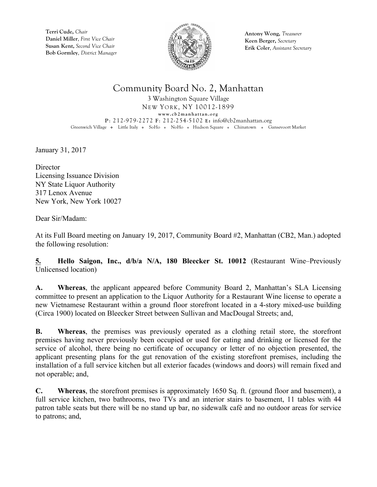

**Antony Wong,** *Treasurer* **Keen Berger,** *Secretary* **Erik Coler**, *Assistant Secretary*

## Community Board No. 2, Manhattan

3 Washington Square Village NEW YORK, NY 10012-1899 **www.cb2manhattan.org P**: 212-979-2272 **F**: 212-254-5102 **E:** info@cb2manhattan.org Greenwich Village • Little Italy • SoHo • NoHo • Hudson Square • Chinatown • Gansevoort Market

January 31, 2017

**Director** Licensing Issuance Division NY State Liquor Authority 317 Lenox Avenue New York, New York 10027

Dear Sir/Madam:

At its Full Board meeting on January 19, 2017, Community Board #2, Manhattan (CB2, Man.) adopted the following resolution:

**5. Hello Saigon, Inc., d/b/a N/A, 180 Bleecker St. 10012** (Restaurant Wine–Previously Unlicensed location)

**A. Whereas**, the applicant appeared before Community Board 2, Manhattan's SLA Licensing committee to present an application to the Liquor Authority for a Restaurant Wine license to operate a new Vietnamese Restaurant within a ground floor storefront located in a 4-story mixed-use building (Circa 1900) located on Bleecker Street between Sullivan and MacDougal Streets; and,

**B. Whereas**, the premises was previously operated as a clothing retail store, the storefront premises having never previously been occupied or used for eating and drinking or licensed for the service of alcohol, there being no certificate of occupancy or letter of no objection presented, the applicant presenting plans for the gut renovation of the existing storefront premises, including the installation of a full service kitchen but all exterior facades (windows and doors) will remain fixed and not operable; and,

**C. Whereas**, the storefront premises is approximately 1650 Sq. ft. (ground floor and basement), a full service kitchen, two bathrooms, two TVs and an interior stairs to basement, 11 tables with 44 patron table seats but there will be no stand up bar, no sidewalk café and no outdoor areas for service to patrons; and,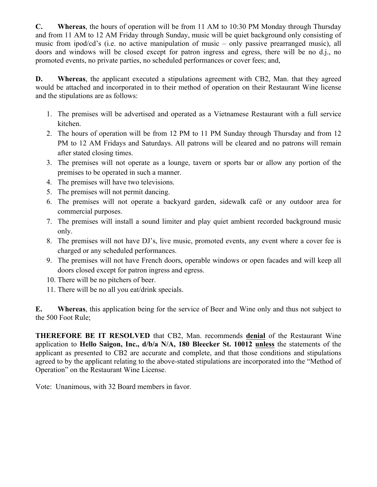**C. Whereas**, the hours of operation will be from 11 AM to 10:30 PM Monday through Thursday and from 11 AM to 12 AM Friday through Sunday, music will be quiet background only consisting of music from ipod/cd's (i.e. no active manipulation of music – only passive prearranged music), all doors and windows will be closed except for patron ingress and egress, there will be no d.j., no promoted events, no private parties, no scheduled performances or cover fees; and,

**D. Whereas**, the applicant executed a stipulations agreement with CB2, Man. that they agreed would be attached and incorporated in to their method of operation on their Restaurant Wine license and the stipulations are as follows:

- 1. The premises will be advertised and operated as a Vietnamese Restaurant with a full service kitchen.
- 2. The hours of operation will be from 12 PM to 11 PM Sunday through Thursday and from 12 PM to 12 AM Fridays and Saturdays. All patrons will be cleared and no patrons will remain after stated closing times.
- 3. The premises will not operate as a lounge, tavern or sports bar or allow any portion of the premises to be operated in such a manner.
- 4. The premises will have two televisions.
- 5. The premises will not permit dancing.
- 6. The premises will not operate a backyard garden, sidewalk café or any outdoor area for commercial purposes.
- 7. The premises will install a sound limiter and play quiet ambient recorded background music only.
- 8. The premises will not have DJ's, live music, promoted events, any event where a cover fee is charged or any scheduled performances.
- 9. The premises will not have French doors, operable windows or open facades and will keep all doors closed except for patron ingress and egress.
- 10. There will be no pitchers of beer.
- 11. There will be no all you eat/drink specials.

**E. Whereas**, this application being for the service of Beer and Wine only and thus not subject to the 500 Foot Rule;

**THEREFORE BE IT RESOLVED** that CB2, Man. recommends **denial** of the Restaurant Wine application to **Hello Saigon, Inc., d/b/a N/A, 180 Bleecker St. 10012 unless** the statements of the applicant as presented to CB2 are accurate and complete, and that those conditions and stipulations agreed to by the applicant relating to the above-stated stipulations are incorporated into the "Method of Operation" on the Restaurant Wine License.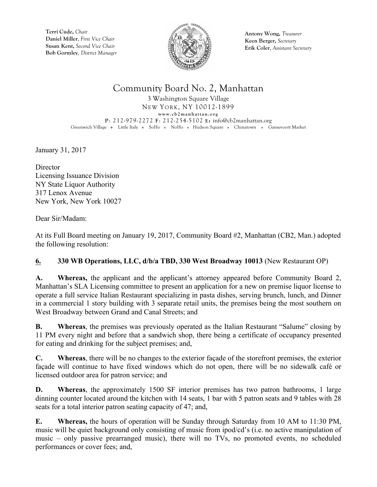

**Antony Wong,** *Treasurer* **Keen Berger,** *Secretary* **Erik Coler**, *Assistant Secretary*

# Community Board No. 2, Manhattan

3 Washington Square Village NEW YORK, NY 10012-1899 **www.cb2manhattan.org P**: 212-979-2272 **F**: 212-254-5102 **E:** info@cb2manhattan.org Greenwich Village • Little Italy • SoHo • NoHo • Hudson Square • Chinatown • Gansevoort Market

January 31, 2017

**Director** Licensing Issuance Division NY State Liquor Authority 317 Lenox Avenue New York, New York 10027

Dear Sir/Madam:

At its Full Board meeting on January 19, 2017, Community Board #2, Manhattan (CB2, Man.) adopted the following resolution:

### **6. 330 WB Operations, LLC, d/b/a TBD, 330 West Broadway 10013** (New Restaurant OP)

**A. Whereas,** the applicant and the applicant's attorney appeared before Community Board 2, Manhattan's SLA Licensing committee to present an application for a new on premise liquor license to operate a full service Italian Restaurant specializing in pasta dishes, serving brunch, lunch, and Dinner in a commercial 1 story building with 3 separate retail units, the premises being the most southern on West Broadway between Grand and Canal Streets; and

**B. Whereas**, the premises was previously operated as the Italian Restaurant "Salume" closing by 11 PM every night and before that a sandwich shop, there being a certificate of occupancy presented for eating and drinking for the subject premises; and,

**C. Whereas**, there will be no changes to the exterior façade of the storefront premises, the exterior façade will continue to have fixed windows which do not open, there will be no sidewalk café or licensed outdoor area for patron service; and

**D. Whereas**, the approximately 1500 SF interior premises has two patron bathrooms, 1 large dinning counter located around the kitchen with 14 seats, 1 bar with 5 patron seats and 9 tables with 28 seats for a total interior patron seating capacity of 47; and,

**E. Whereas,** the hours of operation will be Sunday through Saturday from 10 AM to 11:30 PM, music will be quiet background only consisting of music from ipod/cd's (i.e. no active manipulation of music – only passive prearranged music), there will no TVs, no promoted events, no scheduled performances or cover fees; and,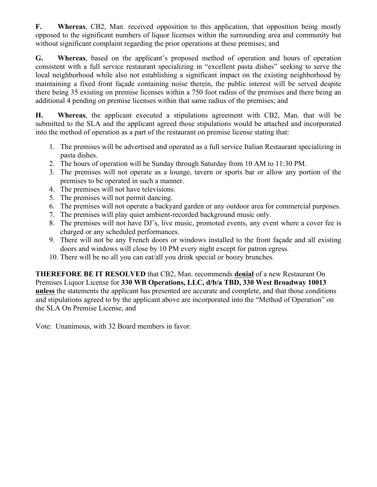**F. Whereas**, CB2, Man. received opposition to this application, that opposition being mostly opposed to the significant numbers of liquor licenses within the surrounding area and community but without significant complaint regarding the prior operations at these premises; and

**G. Whereas**, based on the applicant's proposed method of operation and hours of operation consistent with a full service restaurant specializing in "excellent pasta dishes" seeking to serve the local neighborhood while also not establishing a significant impact on the existing neighborhood by maintaining a fixed front façade containing noise therein, the public interest will be served despite there being 35 existing on premise licenses within a 750 foot radius of the premises and there being an additional 4 pending on premise licenses within that same radius of the premises; and

**H. Whereas**, the applicant executed a stipulations agreement with CB2, Man. that will be submitted to the SLA and the applicant agreed those stipulations would be attached and incorporated into the method of operation as a part of the restaurant on premise license stating that:

- 1. The premises will be advertised and operated as a full service Italian Restaurant specializing in pasta dishes.
- 2. The hours of operation will be Sunday through Saturday from 10 AM to 11:30 PM.
- 3. The premises will not operate as a lounge, tavern or sports bar or allow any portion of the premises to be operated in such a manner.
- 4. The premises will not have televisions.
- 5. The premises will not permit dancing.
- 6. The premises will not operate a backyard garden or any outdoor area for commercial purposes.
- 7. The premises will play quiet ambient-recorded background music only.
- 8. The premises will not have DJ's, live music, promoted events, any event where a cover fee is charged or any scheduled performances.
- 9. There will not be any French doors or windows installed to the front façade and all existing doors and windows will close by 10 PM every night except for patron egress.
- 10. There will be no all you can eat/all you drink special or boozy brunches.

**THEREFORE BE IT RESOLVED** that CB2, Man. recommends **denial** of a new Restaurant On Premises Liquor License for **330 WB Operations, LLC, d/b/a TBD, 330 West Broadway 10013 unless** the statements the applicant has presented are accurate and complete, and that those conditions and stipulations agreed to by the applicant above are incorporated into the "Method of Operation" on the SLA On Premise License, and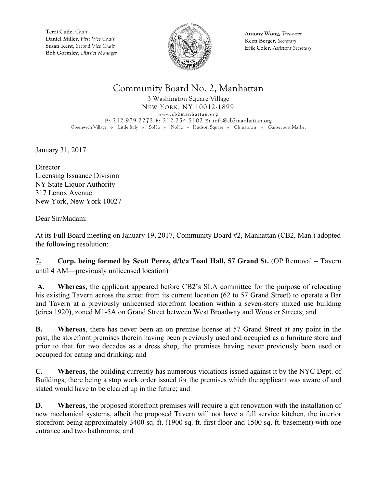

**Antony Wong,** *Treasurer* **Keen Berger,** *Secretary* **Erik Coler**, *Assistant Secretary*

# Community Board No. 2, Manhattan

3 Washington Square Village NEW YORK, NY 10012-1899 **www.cb2manhattan.org P**: 212-979-2272 **F**: 212-254-5102 **E:** info@cb2manhattan.org Greenwich Village • Little Italy • SoHo • NoHo • Hudson Square • Chinatown • Gansevoort Market

January 31, 2017

**Director** Licensing Issuance Division NY State Liquor Authority 317 Lenox Avenue New York, New York 10027

Dear Sir/Madam:

At its Full Board meeting on January 19, 2017, Community Board #2, Manhattan (CB2, Man.) adopted the following resolution:

**7. Corp. being formed by Scott Perez, d/b/a Toad Hall, 57 Grand St.** (OP Removal – Tavern until 4 AM—previously unlicensed location)

**A. Whereas,** the applicant appeared before CB2's SLA committee for the purpose of relocating his existing Tavern across the street from its current location (62 to 57 Grand Street) to operate a Bar and Tavern at a previously unlicensed storefront location within a seven-story mixed use building (circa 1920), zoned M1-5A on Grand Street between West Broadway and Wooster Streets; and

**B. Whereas**, there has never been an on premise license at 57 Grand Street at any point in the past, the storefront premises therein having been previously used and occupied as a furniture store and prior to that for two decades as a dress shop, the premises having never previously been used or occupied for eating and drinking; and

**C. Whereas**, the building currently has numerous violations issued against it by the NYC Dept. of Buildings, there being a stop work order issued for the premises which the applicant was aware of and stated would have to be cleared up in the future; and

**D. Whereas**, the proposed storefront premises will require a gut renovation with the installation of new mechanical systems, albeit the proposed Tavern will not have a full service kitchen, the interior storefront being approximately 3400 sq. ft. (1900 sq. ft. first floor and 1500 sq. ft. basement) with one entrance and two bathrooms; and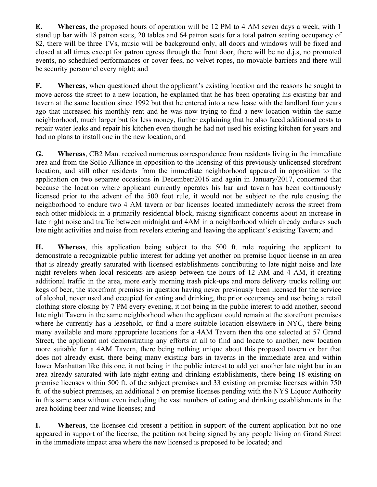**E. Whereas**, the proposed hours of operation will be 12 PM to 4 AM seven days a week, with 1 stand up bar with 18 patron seats, 20 tables and 64 patron seats for a total patron seating occupancy of 82, there will be three TVs, music will be background only, all doors and windows will be fixed and closed at all times except for patron egress through the front door, there will be no d.j.s, no promoted events, no scheduled performances or cover fees, no velvet ropes, no movable barriers and there will be security personnel every night; and

**F. Whereas**, when questioned about the applicant's existing location and the reasons he sought to move across the street to a new location, he explained that he has been operating his existing bar and tavern at the same location since 1992 but that he entered into a new lease with the landlord four years ago that increased his monthly rent and he was now trying to find a new location within the same neighborhood, much larger but for less money, further explaining that he also faced additional costs to repair water leaks and repair his kitchen even though he had not used his existing kitchen for years and had no plans to install one in the new location; and

**G. Whereas**, CB2 Man. received numerous correspondence from residents living in the immediate area and from the SoHo Alliance in opposition to the licensing of this previously unlicensed storefront location, and still other residents from the immediate neighborhood appeared in opposition to the application on two separate occasions in December/2016 and again in January/2017, concerned that because the location where applicant currently operates his bar and tavern has been continuously licensed prior to the advent of the 500 foot rule, it would not be subject to the rule causing the neighborhood to endure two 4 AM tavern or bar licenses located immediately across the street from each other midblock in a primarily residential block, raising significant concerns about an increase in late night noise and traffic between midnight and 4AM in a neighborhood which already endures such late night activities and noise from revelers entering and leaving the applicant's existing Tavern; and

**H. Whereas**, this application being subject to the 500 ft. rule requiring the applicant to demonstrate a recognizable public interest for adding yet another on premise liquor license in an area that is already greatly saturated with licensed establishments contributing to late night noise and late night revelers when local residents are asleep between the hours of 12 AM and 4 AM, it creating additional traffic in the area, more early morning trash pick-ups and more delivery trucks rolling out kegs of beer, the storefront premises in question having never previously been licensed for the service of alcohol, never used and occupied for eating and drinking, the prior occupancy and use being a retail clothing store closing by 7 PM every evening, it not being in the public interest to add another, second late night Tavern in the same neighborhood when the applicant could remain at the storefront premises where he currently has a leasehold, or find a more suitable location elsewhere in NYC, there being many available and more appropriate locations for a 4AM Tavern then the one selected at 57 Grand Street, the applicant not demonstrating any efforts at all to find and locate to another, new location more suitable for a 4AM Tavern, there being nothing unique about this proposed tavern or bar that does not already exist, there being many existing bars in taverns in the immediate area and within lower Manhattan like this one, it not being in the public interest to add yet another late night bar in an area already saturated with late night eating and drinking establishments, there being 18 existing on premise licenses within 500 ft. of the subject premises and 33 existing on premise licenses within 750 ft. of the subject premises, an additional 5 on premise licenses pending with the NYS Liquor Authority in this same area without even including the vast numbers of eating and drinking establishments in the area holding beer and wine licenses; and

**I. Whereas**, the licensee did present a petition in support of the current application but no one appeared in support of the license, the petition not being signed by any people living on Grand Street in the immediate impact area where the new licensed is proposed to be located; and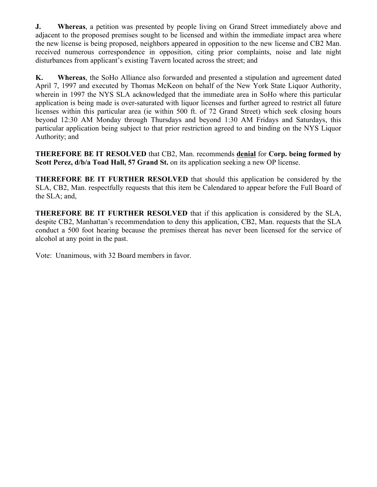**J. Whereas**, a petition was presented by people living on Grand Street immediately above and adjacent to the proposed premises sought to be licensed and within the immediate impact area where the new license is being proposed, neighbors appeared in opposition to the new license and CB2 Man. received numerous correspondence in opposition, citing prior complaints, noise and late night disturbances from applicant's existing Tavern located across the street; and

**K. Whereas**, the SoHo Alliance also forwarded and presented a stipulation and agreement dated April 7, 1997 and executed by Thomas McKeon on behalf of the New York State Liquor Authority, wherein in 1997 the NYS SLA acknowledged that the immediate area in SoHo where this particular application is being made is over-saturated with liquor licenses and further agreed to restrict all future licenses within this particular area (ie within 500 ft. of 72 Grand Street) which seek closing hours beyond 12:30 AM Monday through Thursdays and beyond 1:30 AM Fridays and Saturdays, this particular application being subject to that prior restriction agreed to and binding on the NYS Liquor Authority; and

**THEREFORE BE IT RESOLVED** that CB2, Man. recommends **denial** for **Corp. being formed by**  Scott Perez,  $d/b/a$  Toad Hall, 57 Grand St. on its application seeking a new OP license.

**THEREFORE BE IT FURTHER RESOLVED** that should this application be considered by the SLA, CB2, Man. respectfully requests that this item be Calendared to appear before the Full Board of the SLA; and,

**THEREFORE BE IT FURTHER RESOLVED** that if this application is considered by the SLA, despite CB2, Manhattan's recommendation to deny this application, CB2, Man. requests that the SLA conduct a 500 foot hearing because the premises thereat has never been licensed for the service of alcohol at any point in the past.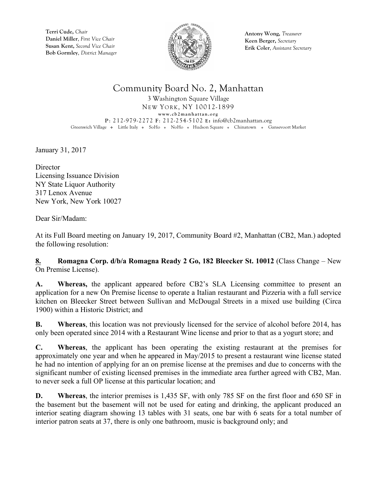

**Antony Wong,** *Treasurer* **Keen Berger,** *Secretary* **Erik Coler**, *Assistant Secretary*

## Community Board No. 2, Manhattan

3 Washington Square Village NEW YORK, NY 10012-1899 **www.cb2manhattan.org P**: 212-979-2272 **F**: 212-254-5102 **E:** info@cb2manhattan.org Greenwich Village • Little Italy • SoHo • NoHo • Hudson Square • Chinatown • Gansevoort Market

January 31, 2017

**Director** Licensing Issuance Division NY State Liquor Authority 317 Lenox Avenue New York, New York 10027

Dear Sir/Madam:

At its Full Board meeting on January 19, 2017, Community Board #2, Manhattan (CB2, Man.) adopted the following resolution:

**8. Romagna Corp. d/b/a Romagna Ready 2 Go, 182 Bleecker St. 10012** (Class Change – New On Premise License).

**A. Whereas,** the applicant appeared before CB2's SLA Licensing committee to present an application for a new On Premise license to operate a Italian restaurant and Pizzeria with a full service kitchen on Bleecker Street between Sullivan and McDougal Streets in a mixed use building (Circa 1900) within a Historic District; and

**B. Whereas**, this location was not previously licensed for the service of alcohol before 2014, has only been operated since 2014 with a Restaurant Wine license and prior to that as a yogurt store; and

**C. Whereas**, the applicant has been operating the existing restaurant at the premises for approximately one year and when he appeared in May/2015 to present a restaurant wine license stated he had no intention of applying for an on premise license at the premises and due to concerns with the significant number of existing licensed premises in the immediate area further agreed with CB2, Man. to never seek a full OP license at this particular location; and

**D. Whereas**, the interior premises is 1,435 SF, with only 785 SF on the first floor and 650 SF in the basement but the basement will not be used for eating and drinking, the applicant produced an interior seating diagram showing 13 tables with 31 seats, one bar with 6 seats for a total number of interior patron seats at 37, there is only one bathroom, music is background only; and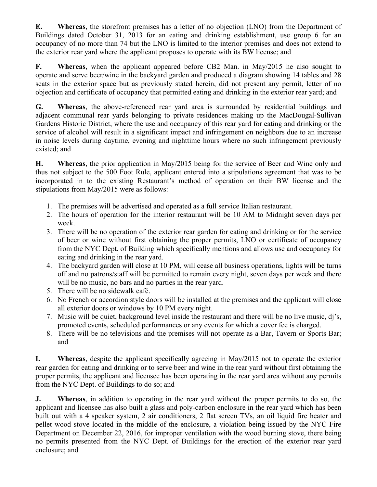**E. Whereas**, the storefront premises has a letter of no objection (LNO) from the Department of Buildings dated October 31, 2013 for an eating and drinking establishment, use group 6 for an occupancy of no more than 74 but the LNO is limited to the interior premises and does not extend to the exterior rear yard where the applicant proposes to operate with its BW license; and

**F. Whereas**, when the applicant appeared before CB2 Man. in May/2015 he also sought to operate and serve beer/wine in the backyard garden and produced a diagram showing 14 tables and 28 seats in the exterior space but as previously stated herein, did not present any permit, letter of no objection and certificate of occupancy that permitted eating and drinking in the exterior rear yard; and

**G. Whereas**, the above-referenced rear yard area is surrounded by residential buildings and adjacent communal rear yards belonging to private residences making up the MacDougal-Sullivan Gardens Historic District, where the use and occupancy of this rear yard for eating and drinking or the service of alcohol will result in a significant impact and infringement on neighbors due to an increase in noise levels during daytime, evening and nighttime hours where no such infringement previously existed; and

**H. Whereas**, the prior application in May/2015 being for the service of Beer and Wine only and thus not subject to the 500 Foot Rule, applicant entered into a stipulations agreement that was to be incorporated in to the existing Restaurant's method of operation on their BW license and the stipulations from May/2015 were as follows:

- 1. The premises will be advertised and operated as a full service Italian restaurant.
- 2. The hours of operation for the interior restaurant will be 10 AM to Midnight seven days per week.
- 3. There will be no operation of the exterior rear garden for eating and drinking or for the service of beer or wine without first obtaining the proper permits, LNO or certificate of occupancy from the NYC Dept. of Building which specifically mentions and allows use and occupancy for eating and drinking in the rear yard.
- 4. The backyard garden will close at 10 PM, will cease all business operations, lights will be turns off and no patrons/staff will be permitted to remain every night, seven days per week and there will be no music, no bars and no parties in the rear yard.
- 5. There will be no sidewalk café.
- 6. No French or accordion style doors will be installed at the premises and the applicant will close all exterior doors or windows by 10 PM every night.
- 7. Music will be quiet, background level inside the restaurant and there will be no live music, dj's, promoted events, scheduled performances or any events for which a cover fee is charged.
- 8. There will be no televisions and the premises will not operate as a Bar, Tavern or Sports Bar; and

**I. Whereas**, despite the applicant specifically agreeing in May/2015 not to operate the exterior rear garden for eating and drinking or to serve beer and wine in the rear yard without first obtaining the proper permits, the applicant and licensee has been operating in the rear yard area without any permits from the NYC Dept. of Buildings to do so; and

**J. Whereas**, in addition to operating in the rear yard without the proper permits to do so, the applicant and licensee has also built a glass and poly-carbon enclosure in the rear yard which has been built out with a 4 speaker system, 2 air conditioners, 2 flat screen TVs, an oil liquid fire heater and pellet wood stove located in the middle of the enclosure, a violation being issued by the NYC Fire Department on December 22, 2016, for improper ventilation with the wood burning stove, there being no permits presented from the NYC Dept. of Buildings for the erection of the exterior rear yard enclosure; and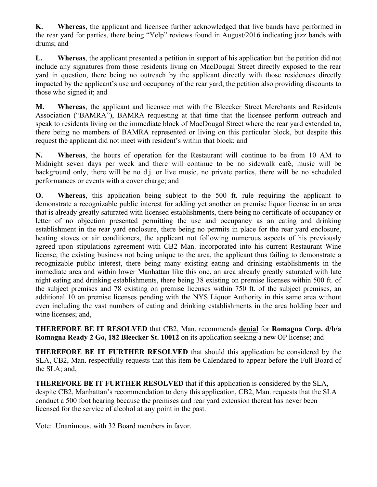**K. Whereas**, the applicant and licensee further acknowledged that live bands have performed in the rear yard for parties, there being "Yelp" reviews found in August/2016 indicating jazz bands with drums; and

**L. Whereas**, the applicant presented a petition in support of his application but the petition did not include any signatures from those residents living on MacDougal Street directly exposed to the rear yard in question, there being no outreach by the applicant directly with those residences directly impacted by the applicant's use and occupancy of the rear yard, the petition also providing discounts to those who signed it; and

**M. Whereas**, the applicant and licensee met with the Bleecker Street Merchants and Residents Association ("BAMRA"), BAMRA requesting at that time that the licensee perform outreach and speak to residents living on the immediate block of MacDougal Street where the rear yard extended to, there being no members of BAMRA represented or living on this particular block, but despite this request the applicant did not meet with resident's within that block; and

**N. Whereas**, the hours of operation for the Restaurant will continue to be from 10 AM to Midnight seven days per week and there will continue to be no sidewalk café, music will be background only, there will be no d.j. or live music, no private parties, there will be no scheduled performances or events with a cover charge; and

**O. Whereas**, this application being subject to the 500 ft. rule requiring the applicant to demonstrate a recognizable public interest for adding yet another on premise liquor license in an area that is already greatly saturated with licensed establishments, there being no certificate of occupancy or letter of no objection presented permitting the use and occupancy as an eating and drinking establishment in the rear yard enclosure, there being no permits in place for the rear yard enclosure, heating stoves or air conditioners, the applicant not following numerous aspects of his previously agreed upon stipulations agreement with CB2 Man. incorporated into his current Restaurant Wine license, the existing business not being unique to the area, the applicant thus failing to demonstrate a recognizable public interest, there being many existing eating and drinking establishments in the immediate area and within lower Manhattan like this one, an area already greatly saturated with late night eating and drinking establishments, there being 38 existing on premise licenses within 500 ft. of the subject premises and 78 existing on premise licenses within 750 ft. of the subject premises, an additional 10 on premise licenses pending with the NYS Liquor Authority in this same area without even including the vast numbers of eating and drinking establishments in the area holding beer and wine licenses; and,

**THEREFORE BE IT RESOLVED** that CB2, Man. recommends **denial** for **Romagna Corp. d/b/a Romagna Ready 2 Go, 182 Bleecker St. 10012** on its application seeking a new OP license; and

**THEREFORE BE IT FURTHER RESOLVED** that should this application be considered by the SLA, CB2, Man. respectfully requests that this item be Calendared to appear before the Full Board of the SLA; and,

**THEREFORE BE IT FURTHER RESOLVED** that if this application is considered by the SLA, despite CB2, Manhattan's recommendation to deny this application, CB2, Man. requests that the SLA conduct a 500 foot hearing because the premises and rear yard extension thereat has never been licensed for the service of alcohol at any point in the past.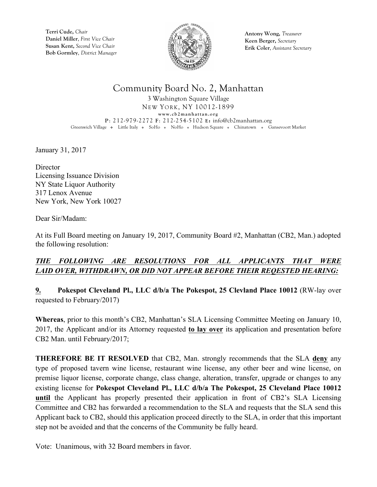

**Antony Wong,** *Treasurer* **Keen Berger,** *Secretary* **Erik Coler**, *Assistant Secretary*

## Community Board No. 2, Manhattan

3 Washington Square Village NEW YORK, NY 10012-1899 **www.cb2manhattan.org P**: 212-979-2272 **F**: 212-254-5102 **E:** info@cb2manhattan.org Greenwich Village • Little Italy • SoHo • NoHo • Hudson Square • Chinatown • Gansevoort Market

January 31, 2017

**Director** Licensing Issuance Division NY State Liquor Authority 317 Lenox Avenue New York, New York 10027

Dear Sir/Madam:

At its Full Board meeting on January 19, 2017, Community Board #2, Manhattan (CB2, Man.) adopted the following resolution:

### *THE FOLLOWING ARE RESOLUTIONS FOR ALL APPLICANTS THAT WERE LAID OVER, WITHDRAWN, OR DID NOT APPEAR BEFORE THEIR REQESTED HEARING:*

**9. Pokespot Cleveland Pl., LLC d/b/a The Pokespot, 25 Clevland Place 10012** (RW-lay over requested to February/2017)

**Whereas**, prior to this month's CB2, Manhattan's SLA Licensing Committee Meeting on January 10, 2017, the Applicant and/or its Attorney requested **to lay over** its application and presentation before CB2 Man. until February/2017;

**THEREFORE BE IT RESOLVED** that CB2, Man. strongly recommends that the SLA **deny** any type of proposed tavern wine license, restaurant wine license, any other beer and wine license, on premise liquor license, corporate change, class change, alteration, transfer, upgrade or changes to any existing license for **Pokespot Cleveland Pl., LLC d/b/a The Pokespot, 25 Cleveland Place 10012 until** the Applicant has properly presented their application in front of CB2's SLA Licensing Committee and CB2 has forwarded a recommendation to the SLA and requests that the SLA send this Applicant back to CB2, should this application proceed directly to the SLA, in order that this important step not be avoided and that the concerns of the Community be fully heard.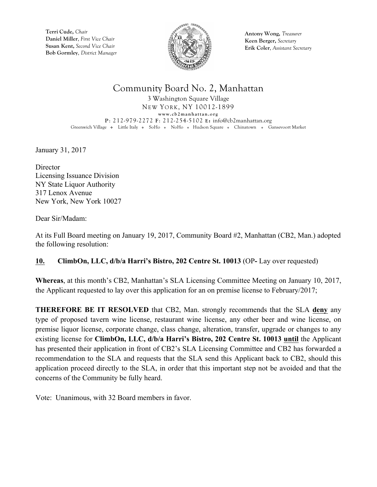

**Antony Wong,** *Treasurer* **Keen Berger,** *Secretary* **Erik Coler**, *Assistant Secretary*

### Community Board No. 2, Manhattan

3 Washington Square Village NEW YORK, NY 10012-1899 **www.cb2manhattan.org P**: 212-979-2272 **F**: 212-254-5102 **E:** info@cb2manhattan.org Greenwich Village • Little Italy • SoHo • NoHo • Hudson Square • Chinatown • Gansevoort Market

January 31, 2017

**Director** Licensing Issuance Division NY State Liquor Authority 317 Lenox Avenue New York, New York 10027

Dear Sir/Madam:

At its Full Board meeting on January 19, 2017, Community Board #2, Manhattan (CB2, Man.) adopted the following resolution:

### **10. ClimbOn, LLC, d/b/a Harri's Bistro, 202 Centre St. 10013** (OP**-** Lay over requested)

**Whereas**, at this month's CB2, Manhattan's SLA Licensing Committee Meeting on January 10, 2017, the Applicant requested to lay over this application for an on premise license to February/2017;

**THEREFORE BE IT RESOLVED** that CB2, Man. strongly recommends that the SLA **deny** any type of proposed tavern wine license, restaurant wine license, any other beer and wine license, on premise liquor license, corporate change, class change, alteration, transfer, upgrade or changes to any existing license for **ClimbOn, LLC, d/b/a Harri's Bistro, 202 Centre St. 10013 until** the Applicant has presented their application in front of CB2's SLA Licensing Committee and CB2 has forwarded a recommendation to the SLA and requests that the SLA send this Applicant back to CB2, should this application proceed directly to the SLA, in order that this important step not be avoided and that the concerns of the Community be fully heard.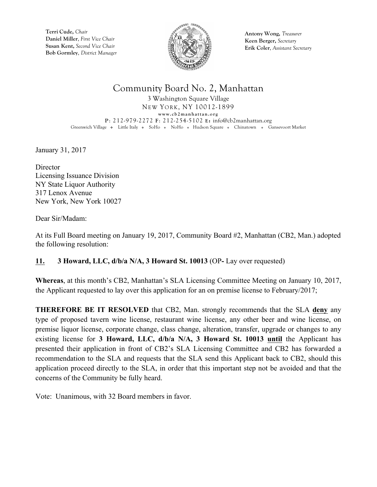

**Antony Wong,** *Treasurer* **Keen Berger,** *Secretary* **Erik Coler**, *Assistant Secretary*

## Community Board No. 2, Manhattan

3 Washington Square Village NEW YORK, NY 10012-1899 **www.cb2manhattan.org P**: 212-979-2272 **F**: 212-254-5102 **E:** info@cb2manhattan.org Greenwich Village • Little Italy • SoHo • NoHo • Hudson Square • Chinatown • Gansevoort Market

January 31, 2017

**Director** Licensing Issuance Division NY State Liquor Authority 317 Lenox Avenue New York, New York 10027

Dear Sir/Madam:

At its Full Board meeting on January 19, 2017, Community Board #2, Manhattan (CB2, Man.) adopted the following resolution:

### **11. 3 Howard, LLC, d/b/a N/A, 3 Howard St. 10013** (OP**-** Lay over requested)

**Whereas**, at this month's CB2, Manhattan's SLA Licensing Committee Meeting on January 10, 2017, the Applicant requested to lay over this application for an on premise license to February/2017;

**THEREFORE BE IT RESOLVED** that CB2, Man. strongly recommends that the SLA **deny** any type of proposed tavern wine license, restaurant wine license, any other beer and wine license, on premise liquor license, corporate change, class change, alteration, transfer, upgrade or changes to any existing license for **3 Howard, LLC, d/b/a N/A, 3 Howard St. 10013 until** the Applicant has presented their application in front of CB2's SLA Licensing Committee and CB2 has forwarded a recommendation to the SLA and requests that the SLA send this Applicant back to CB2, should this application proceed directly to the SLA, in order that this important step not be avoided and that the concerns of the Community be fully heard.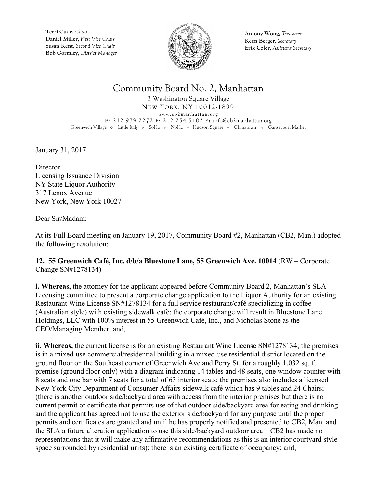

**Antony Wong,** *Treasurer* **Keen Berger,** *Secretary* **Erik Coler**, *Assistant Secretary*

## Community Board No. 2, Manhattan

3 Washington Square Village NEW YORK, NY 10012-1899 **www.cb2manhattan.org P**: 212-979-2272 **F**: 212-254-5102 **E:** info@cb2manhattan.org Greenwich Village • Little Italy • SoHo • NoHo • Hudson Square • Chinatown • Gansevoort Market

January 31, 2017

**Director** Licensing Issuance Division NY State Liquor Authority 317 Lenox Avenue New York, New York 10027

Dear Sir/Madam:

At its Full Board meeting on January 19, 2017, Community Board #2, Manhattan (CB2, Man.) adopted the following resolution:

#### **12. 55 Greenwich Café, Inc. d/b/a Bluestone Lane, 55 Greenwich Ave. 10014** (RW – Corporate Change SN#1278134)

**i. Whereas,** the attorney for the applicant appeared before Community Board 2, Manhattan's SLA Licensing committee to present a corporate change application to the Liquor Authority for an existing Restaurant Wine License SN#1278134 for a full service restaurant/café specializing in coffee (Australian style) with existing sidewalk café; the corporate change will result in Bluestone Lane Holdings, LLC with 100% interest in 55 Greenwich Café, Inc., and Nicholas Stone as the CEO/Managing Member; and,

**ii. Whereas,** the current license is for an existing Restaurant Wine License SN#1278134; the premises is in a mixed-use commercial/residential building in a mixed-use residential district located on the ground floor on the Southeast corner of Greenwich Ave and Perry St. for a roughly 1,032 sq. ft. premise (ground floor only) with a diagram indicating 14 tables and 48 seats, one window counter with 8 seats and one bar with 7 seats for a total of 63 interior seats; the premises also includes a licensed New York City Department of Consumer Affairs sidewalk café which has 9 tables and 24 Chairs; (there is another outdoor side/backyard area with access from the interior premises but there is no current permit or certificate that permits use of that outdoor side/backyard area for eating and drinking and the applicant has agreed not to use the exterior side/backyard for any purpose until the proper permits and certificates are granted and until he has properly notified and presented to CB2, Man. and the SLA a future alteration application to use this side/backyard outdoor area – CB2 has made no representations that it will make any affirmative recommendations as this is an interior courtyard style space surrounded by residential units); there is an existing certificate of occupancy; and,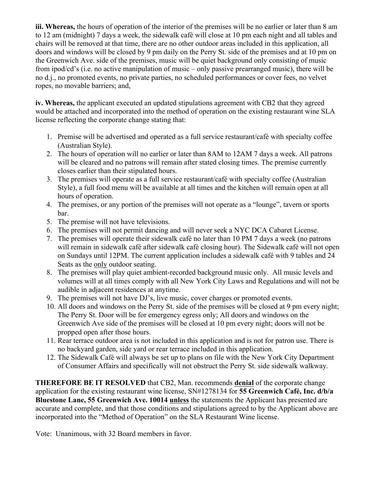**iii. Whereas,** the hours of operation of the interior of the premises will be no earlier or later than 8 am to 12 am (midnight) 7 days a week, the sidewalk café will close at 10 pm each night and all tables and chairs will be removed at that time, there are no other outdoor areas included in this application, all doors and windows will be closed by 9 pm daily on the Perry St. side of the premises and at 10 pm on the Greenwich Ave. side of the premises, music will be quiet background only consisting of music from ipod/cd's (i.e. no active manipulation of music – only passive prearranged music), there will be no d.j., no promoted events, no private parties, no scheduled performances or cover fees, no velvet ropes, no movable barriers; and,

**iv. Whereas,** the applicant executed an updated stipulations agreement with CB2 that they agreed would be attached and incorporated into the method of operation on the existing restaurant wine SLA license reflecting the corporate change stating that:

- 1. Premise will be advertised and operated as a full service restaurant/café with specialty coffee (Australian Style).
- 2. The hours of operation will no earlier or later than 8AM to 12AM 7 days a week. All patrons will be cleared and no patrons will remain after stated closing times. The premise currently closes earlier than their stipulated hours.
- 3. The premises will operate as a full service restaurant/café with specialty coffee (Australian Style), a full food menu will be available at all times and the kitchen will remain open at all hours of operation.
- 4. The premises, or any portion of the premises will not operate as a "lounge", tavern or sports bar.
- 5. The premise will not have televisions.
- 6. The premises will not permit dancing and will never seek a NYC DCA Cabaret License.
- 7. The premises will operate their sidewalk café no later than 10 PM 7 days a week (no patrons will remain in sidewalk café after sidewalk café closing hour). The Sidewalk café will not open on Sundays until 12PM. The current application includes a sidewalk café with 9 tables and 24 Seats as the only outdoor seating.
- 8. The premises will play quiet ambient-recorded background music only. All music levels and volumes will at all times comply with all New York City Laws and Regulations and will not be audible in adjacent residences at anytime.
- 9. The premises will not have DJ's, live music, cover charges or promoted events.
- 10. All doors and windows on the Perry St. side of the premises will be closed at 9 pm every night; The Perry St. Door will be for emergency egress only; All doors and windows on the Greenwich Ave side of the premises will be closed at 10 pm every night; doors will not be propped open after those hours.
- 11. Rear terrace outdoor area is not included in this application and is not for patron use. There is no backyard garden, side yard or rear terrace included in this application.
- 12. The Sidewalk Café will always be set up to plans on file with the New York City Department of Consumer Affairs and specifically will not obstruct the Perry St. side sidewalk walkway.

**THEREFORE BE IT RESOLVED** that CB2, Man. recommends **denial** of the corporate change application for the existing restaurant wine license, SN#1278134 for **55 Greenwich Café, Inc. d/b/a Bluestone Lane, 55 Greenwich Ave. 10014 unless** the statements the Applicant has presented are accurate and complete, and that those conditions and stipulations agreed to by the Applicant above are incorporated into the "Method of Operation" on the SLA Restaurant Wine license.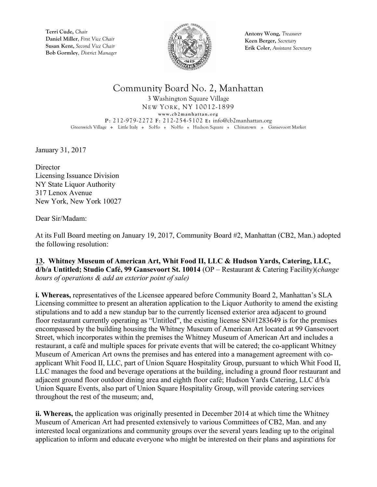

**Antony Wong,** *Treasurer* **Keen Berger,** *Secretary* **Erik Coler**, *Assistant Secretary*

### Community Board No. 2, Manhattan

3 Washington Square Village NEW YORK, NY 10012-1899 **www.cb2manhattan.org P**: 212-979-2272 **F**: 212-254-5102 **E:** info@cb2manhattan.org Greenwich Village • Little Italy • SoHo • NoHo • Hudson Square • Chinatown • Gansevoort Market

January 31, 2017

**Director** Licensing Issuance Division NY State Liquor Authority 317 Lenox Avenue New York, New York 10027

Dear Sir/Madam:

At its Full Board meeting on January 19, 2017, Community Board #2, Manhattan (CB2, Man.) adopted the following resolution:

**13. Whitney Museum of American Art, Whit Food II, LLC & Hudson Yards, Catering, LLC, d/b/a Untitled; Studio Café, 99 Gansevoort St. 10014** (OP – Restaurant & Catering Facility)(*change hours of operations & add an exterior point of sale)*

**i. Whereas,** representatives of the Licensee appeared before Community Board 2, Manhattan's SLA Licensing committee to present an alteration application to the Liquor Authority to amend the existing stipulations and to add a new standup bar to the currently licensed exterior area adjacent to ground floor restaurant currently operating as "Untitled", the existing license SN#1283649 is for the premises encompassed by the building housing the Whitney Museum of American Art located at 99 Gansevoort Street, which incorporates within the premises the Whitney Museum of American Art and includes a restaurant, a café and multiple spaces for private events that will be catered; the co-applicant Whitney Museum of American Art owns the premises and has entered into a management agreement with coapplicant Whit Food II, LLC, part of Union Square Hospitality Group, pursuant to which Whit Food II, LLC manages the food and beverage operations at the building, including a ground floor restaurant and adjacent ground floor outdoor dining area and eighth floor café; Hudson Yards Catering, LLC d/b/a Union Square Events, also part of Union Square Hospitality Group, will provide catering services throughout the rest of the museum; and,

**ii. Whereas,** the application was originally presented in December 2014 at which time the Whitney Museum of American Art had presented extensively to various Committees of CB2, Man. and any interested local organizations and community groups over the several years leading up to the original application to inform and educate everyone who might be interested on their plans and aspirations for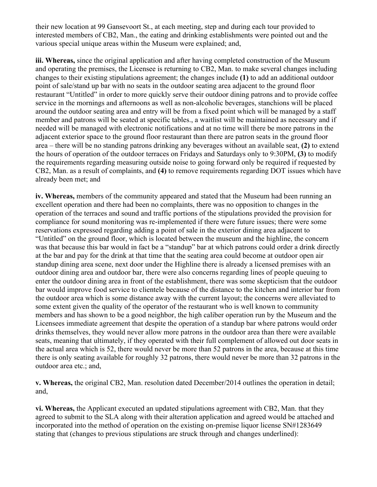their new location at 99 Gansevoort St., at each meeting, step and during each tour provided to interested members of CB2, Man., the eating and drinking establishments were pointed out and the various special unique areas within the Museum were explained; and,

**iii. Whereas,** since the original application and after having completed construction of the Museum and operating the premises, the Licensee is returning to CB2, Man. to make several changes including changes to their existing stipulations agreement; the changes include **(1)** to add an additional outdoor point of sale/stand up bar with no seats in the outdoor seating area adjacent to the ground floor restaurant "Untitled" in order to more quickly serve their outdoor dining patrons and to provide coffee service in the mornings and afternoons as well as non-alcoholic beverages, stanchions will be placed around the outdoor seating area and entry will be from a fixed point which will be managed by a staff member and patrons will be seated at specific tables., a waitlist will be maintained as necessary and if needed will be managed with electronic notifications and at no time will there be more patrons in the adjacent exterior space to the ground floor restaurant than there are patron seats in the ground floor area – there will be no standing patrons drinking any beverages without an available seat, **(2)** to extend the hours of operation of the outdoor terraces on Fridays and Saturdays only to 9:30PM, **(3)** to modify the requirements regarding measuring outside noise to going forward only be required if requested by CB2, Man. as a result of complaints, and **(4)** to remove requirements regarding DOT issues which have already been met; and

**iv. Whereas,** members of the community appeared and stated that the Museum had been running an excellent operation and there had been no complaints, there was no opposition to changes in the operation of the terraces and sound and traffic portions of the stipulations provided the provision for compliance for sound monitoring was re-implemented if there were future issues; there were some reservations expressed regarding adding a point of sale in the exterior dining area adjacent to "Untitled" on the ground floor, which is located between the museum and the highline, the concern was that because this bar would in fact be a "standup" bar at which patrons could order a drink directly at the bar and pay for the drink at that time that the seating area could become at outdoor open air standup dining area scene, next door under the Highline there is already a licensed premises with an outdoor dining area and outdoor bar, there were also concerns regarding lines of people queuing to enter the outdoor dining area in front of the establishment, there was some skepticism that the outdoor bar would improve food service to clientele because of the distance to the kitchen and interior bar from the outdoor area which is some distance away with the current layout; the concerns were alleviated to some extent given the quality of the operator of the restaurant who is well known to community members and has shown to be a good neighbor, the high caliber operation run by the Museum and the Licensees immediate agreement that despite the operation of a standup bar where patrons would order drinks themselves, they would never allow more patrons in the outdoor area than there were available seats, meaning that ultimately, if they operated with their full complement of allowed out door seats in the actual area which is 52, there would never be more than 52 patrons in the area, because at this time there is only seating available for roughly 32 patrons, there would never be more than 32 patrons in the outdoor area etc.; and,

**v. Whereas,** the original CB2, Man. resolution dated December/2014 outlines the operation in detail; and,

**vi. Whereas,** the Applicant executed an updated stipulations agreement with CB2, Man. that they agreed to submit to the SLA along with their alteration application and agreed would be attached and incorporated into the method of operation on the existing on-premise liquor license SN#1283649 stating that (changes to previous stipulations are struck through and changes underlined):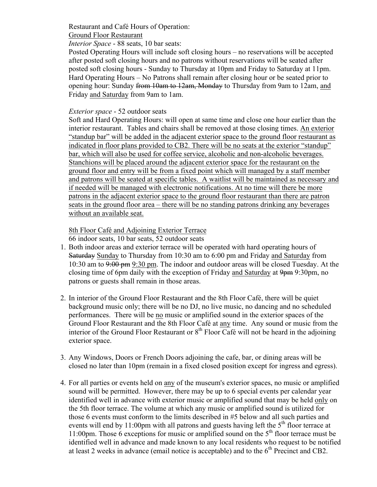### Restaurant and Café Hours of Operation:

#### Ground Floor Restaurant

*Interior Space* - 88 seats, 10 bar seats:

Posted Operating Hours will include soft closing hours – no reservations will be accepted after posted soft closing hours and no patrons without reservations will be seated after posted soft closing hours - Sunday to Thursday at 10pm and Friday to Saturday at 11pm. Hard Operating Hours – No Patrons shall remain after closing hour or be seated prior to opening hour: Sunday from 10am to 12am, Monday to Thursday from 9am to 12am, and Friday and Saturday from 9am to 1am.

#### *Exterior space* - 52 outdoor seats

Soft and Hard Operating Hours: will open at same time and close one hour earlier than the interior restaurant. Tables and chairs shall be removed at those closing times. An exterior "standup bar" will be added in the adjacent exterior space to the ground floor restaurant as indicated in floor plans provided to CB2. There will be no seats at the exterior "standup" bar, which will also be used for coffee service, alcoholic and non-alcoholic beverages. Stanchions will be placed around the adjacent exterior space for the restaurant on the ground floor and entry will be from a fixed point which will managed by a staff member and patrons will be seated at specific tables. A waitlist will be maintained as necessary and if needed will be managed with electronic notifications. At no time will there be more patrons in the adjacent exterior space to the ground floor restaurant than there are patron seats in the ground floor area – there will be no standing patrons drinking any beverages without an available seat.

#### 8th Floor Café and Adjoining Exterior Terrace

66 indoor seats, 10 bar seats, 52 outdoor seats

- 1. Both indoor areas and exterior terrace will be operated with hard operating hours of Saturday Sunday to Thursday from 10:30 am to 6:00 pm and Friday and Saturday from 10:30 am to 9:00 pm 9:30 pm. The indoor and outdoor areas will be closed Tuesday. At the closing time of 6pm daily with the exception of Friday and Saturday at 9<del>pm</del> 9:30pm, no patrons or guests shall remain in those areas.
- 2. In interior of the Ground Floor Restaurant and the 8th Floor Café, there will be quiet background music only; there will be no DJ, no live music, no dancing and no scheduled performances. There will be no music or amplified sound in the exterior spaces of the Ground Floor Restaurant and the 8th Floor Café at any time. Any sound or music from the interior of the Ground Floor Restaurant or  $8<sup>th</sup>$  Floor Café will not be heard in the adjoining exterior space.
- 3. Any Windows, Doors or French Doors adjoining the cafe, bar, or dining areas will be closed no later than 10pm (remain in a fixed closed position except for ingress and egress).
- 4. For all parties or events held on any of the museum's exterior spaces, no music or amplified sound will be permitted. However, there may be up to 6 special events per calendar year identified well in advance with exterior music or amplified sound that may be held only on the 5th floor terrace. The volume at which any music or amplified sound is utilized for those 6 events must conform to the limits described in #5 below and all such parties and events will end by 11:00pm with all patrons and guests having left the  $5<sup>th</sup>$  floor terrace at 11:00pm. Those 6 exceptions for music or amplified sound on the  $5<sup>th</sup>$  floor terrace must be identified well in advance and made known to any local residents who request to be notified at least 2 weeks in advance (email notice is acceptable) and to the  $6<sup>th</sup>$  Precinct and CB2.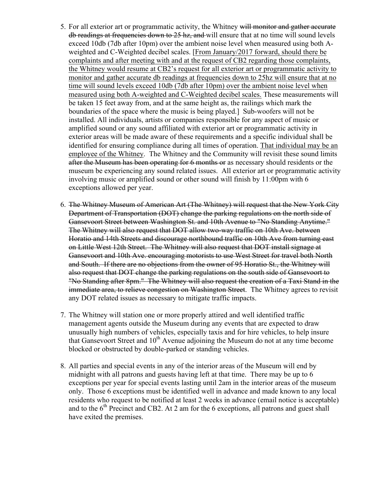- 5. For all exterior art or programmatic activity, the Whitney will monitor and gather accurate db readings at frequencies down to 25 hz, and will ensure that at no time will sound levels exceed 10db (7db after 10pm) over the ambient noise level when measured using both Aweighted and C-Weighted decibel scales. [From January/2017 forward, should there be complaints and after meeting with and at the request of CB2 regarding those complaints, the Whitney would resume at CB2's request for all exterior art or programmatic activity to monitor and gather accurate db readings at frequencies down to 25hz will ensure that at no time will sound levels exceed 10db (7db after 10pm) over the ambient noise level when measured using both A-weighted and C-Weighted decibel scales. These measurements will be taken 15 feet away from, and at the same height as, the railings which mark the boundaries of the space where the music is being played.] Sub-woofers will not be installed. All individuals, artists or companies responsible for any aspect of music or amplified sound or any sound affiliated with exterior art or programmatic activity in exterior areas will be made aware of these requirements and a specific individual shall be identified for ensuring compliance during all times of operation. That individual may be an employee of the Whitney. The Whitney and the Community will revisit these sound limits after the Museum has been operating for 6 months or as necessary should residents or the museum be experiencing any sound related issues. All exterior art or programmatic activity involving music or amplified sound or other sound will finish by 11:00pm with 6 exceptions allowed per year.
- 6. The Whitney Museum of American Art (The Whitney) will request that the New York City Department of Transportation (DOT) change the parking regulations on the north side of Gansevoort Street between Washington St. and 10th Avenue to "No Standing Anytime." The Whitney will also request that DOT allow two-way traffic on 10th Ave. between Horatio and 14th Streets and discourage northbound traffic on 10th Ave from turning east on Little West 12th Street. The Whitney will also request that DOT install signage at Gansevoort and 10th Ave. encouraging motorists to use West Street for travel both North and South. If there are no objections from the owner of 95 Horatio St., the Whitney will also request that DOT change the parking regulations on the south side of Gansevoort to "No Standing after 8pm." The Whitney will also request the creation of a Taxi Stand in the immediate area, to relieve congestion on Washington Street. The Whitney agrees to revisit any DOT related issues as necessary to mitigate traffic impacts.
- 7. The Whitney will station one or more properly attired and well identified traffic management agents outside the Museum during any events that are expected to draw unusually high numbers of vehicles, especially taxis and for hire vehicles, to help insure that Gansevoort Street and  $10<sup>th</sup>$  Avenue adjoining the Museum do not at any time become blocked or obstructed by double-parked or standing vehicles.
- 8. All parties and special events in any of the interior areas of the Museum will end by midnight with all patrons and guests having left at that time. There may be up to 6 exceptions per year for special events lasting until 2am in the interior areas of the museum only. Those 6 exceptions must be identified well in advance and made known to any local residents who request to be notified at least 2 weeks in advance (email notice is acceptable) and to the  $6<sup>th</sup>$  Precinct and CB2. At 2 am for the 6 exceptions, all patrons and guest shall have exited the premises.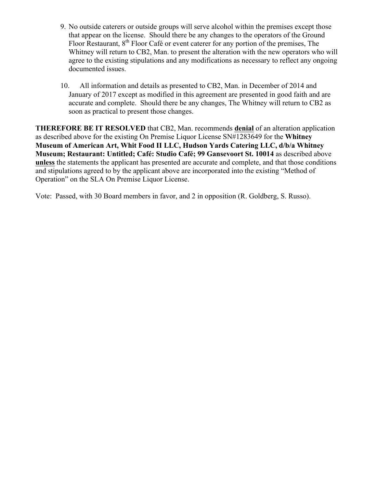- 9. No outside caterers or outside groups will serve alcohol within the premises except those that appear on the license. Should there be any changes to the operators of the Ground Floor Restaurant, 8<sup>th</sup> Floor Café or event caterer for any portion of the premises, The Whitney will return to CB2, Man. to present the alteration with the new operators who will agree to the existing stipulations and any modifications as necessary to reflect any ongoing documented issues.
- 10. All information and details as presented to CB2, Man. in December of 2014 and January of 2017 except as modified in this agreement are presented in good faith and are accurate and complete. Should there be any changes, The Whitney will return to CB2 as soon as practical to present those changes.

**THEREFORE BE IT RESOLVED** that CB2, Man. recommends **denial** of an alteration application as described above for the existing On Premise Liquor License SN#1283649 for the **Whitney Museum of American Art, Whit Food II LLC, Hudson Yards Catering LLC, d/b/a Whitney Museum; Restaurant: Untitled; Café: Studio Café; 99 Gansevoort St. 10014** as described above **unless** the statements the applicant has presented are accurate and complete, and that those conditions and stipulations agreed to by the applicant above are incorporated into the existing "Method of Operation" on the SLA On Premise Liquor License.

Vote: Passed, with 30 Board members in favor, and 2 in opposition (R. Goldberg, S. Russo).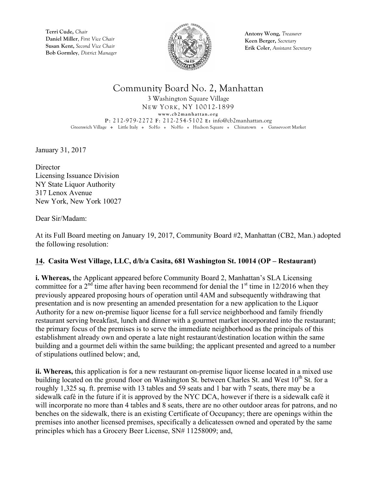

**Antony Wong,** *Treasurer* **Keen Berger,** *Secretary* **Erik Coler**, *Assistant Secretary*

### Community Board No. 2, Manhattan

3 Washington Square Village NEW YORK, NY 10012-1899 **www.cb2manhattan.org P**: 212-979-2272 **F**: 212-254-5102 **E:** info@cb2manhattan.org Greenwich Village • Little Italy • SoHo • NoHo • Hudson Square • Chinatown • Gansevoort Market

January 31, 2017

**Director** Licensing Issuance Division NY State Liquor Authority 317 Lenox Avenue New York, New York 10027

Dear Sir/Madam:

At its Full Board meeting on January 19, 2017, Community Board #2, Manhattan (CB2, Man.) adopted the following resolution:

### **14. Casita West Village, LLC, d/b/a Casita, 681 Washington St. 10014 (OP – Restaurant)**

**i. Whereas,** the Applicant appeared before Community Board 2, Manhattan's SLA Licensing committee for a  $2<sup>nd</sup>$  time after having been recommend for denial the  $1<sup>st</sup>$  time in 12/2016 when they previously appeared proposing hours of operation until 4AM and subsequently withdrawing that presentation and is now presenting an amended presentation for a new application to the Liquor Authority for a new on-premise liquor license for a full service neighborhood and family friendly restaurant serving breakfast, lunch and dinner with a gourmet market incorporated into the restaurant; the primary focus of the premises is to serve the immediate neighborhood as the principals of this establishment already own and operate a late night restaurant/destination location within the same building and a gourmet deli within the same building; the applicant presented and agreed to a number of stipulations outlined below; and,

**ii. Whereas,** this application is for a new restaurant on-premise liquor license located in a mixed use building located on the ground floor on Washington St. between Charles St. and West  $10^{th}$  St. for a roughly 1,325 sq. ft. premise with 13 tables and 59 seats and 1 bar with 7 seats, there may be a sidewalk café in the future if it is approved by the NYC DCA, however if there is a sidewalk café it will incorporate no more than 4 tables and 8 seats, there are no other outdoor areas for patrons, and no benches on the sidewalk, there is an existing Certificate of Occupancy; there are openings within the premises into another licensed premises, specifically a delicatessen owned and operated by the same principles which has a Grocery Beer License, SN# 11258009; and,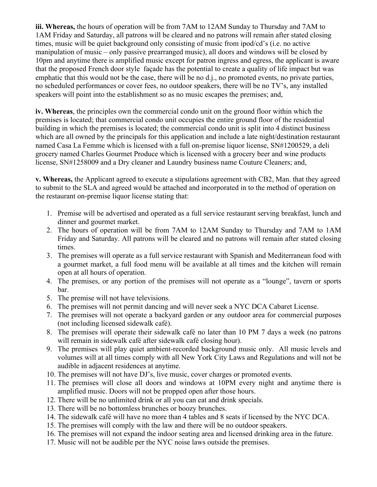**iii. Whereas,** the hours of operation will be from 7AM to 12AM Sunday to Thursday and 7AM to 1AM Friday and Saturday, all patrons will be cleared and no patrons will remain after stated closing times, music will be quiet background only consisting of music from ipod/cd's (i.e. no active manipulation of music – only passive prearranged music), all doors and windows will be closed by 10pm and anytime there is amplified music except for patron ingress and egress, the applicant is aware that the proposed French door style façade has the potential to create a quality of life impact but was emphatic that this would not be the case, there will be no d.j., no promoted events, no private parties, no scheduled performances or cover fees, no outdoor speakers, there will be no TV's, any installed speakers will point into the establishment so as no music escapes the premises; and,

**iv. Whereas**, the principles own the commercial condo unit on the ground floor within which the premises is located; that commercial condo unit occupies the entire ground floor of the residential building in which the premises is located; the commercial condo unit is split into 4 distinct business which are all owned by the principals for this application and include a late night/destination restaurant named Casa La Femme which is licensed with a full on-premise liquor license, SN#1200529, a deli grocery named Charles Gourmet Produce which is licensed with a grocery beer and wine products license, SN#1258009 and a Dry cleaner and Laundry business name Couture Cleaners; and,

**v. Whereas,** the Applicant agreed to execute a stipulations agreement with CB2, Man. that they agreed to submit to the SLA and agreed would be attached and incorporated in to the method of operation on the restaurant on-premise liquor license stating that:

- 1. Premise will be advertised and operated as a full service restaurant serving breakfast, lunch and dinner and gourmet market.
- 2. The hours of operation will be from 7AM to 12AM Sunday to Thursday and 7AM to 1AM Friday and Saturday. All patrons will be cleared and no patrons will remain after stated closing times.
- 3. The premises will operate as a full service restaurant with Spanish and Mediterranean food with a gourmet market, a full food menu will be available at all times and the kitchen will remain open at all hours of operation.
- 4. The premises, or any portion of the premises will not operate as a "lounge", tavern or sports bar.
- 5. The premise will not have televisions.
- 6. The premises will not permit dancing and will never seek a NYC DCA Cabaret License.
- 7. The premises will not operate a backyard garden or any outdoor area for commercial purposes (not including licensed sidewalk café).
- 8. The premises will operate their sidewalk café no later than 10 PM 7 days a week (no patrons will remain in sidewalk café after sidewalk café closing hour).
- 9. The premises will play quiet ambient-recorded background music only. All music levels and volumes will at all times comply with all New York City Laws and Regulations and will not be audible in adjacent residences at anytime.
- 10. The premises will not have DJ's, live music, cover charges or promoted events.
- 11. The premises will close all doors and windows at 10PM every night and anytime there is amplified music. Doors will not be propped open after those hours.
- 12. There will be no unlimited drink or all you can eat and drink specials.
- 13. There will be no bottomless brunches or boozy brunches.
- 14. The sidewalk café will have no more than 4 tables and 8 seats if licensed by the NYC DCA.
- 15. The premises will comply with the law and there will be no outdoor speakers.
- 16. The premises will not expand the indoor seating area and licensed drinking area in the future.
- 17. Music will not be audible per the NYC noise laws outside the premises.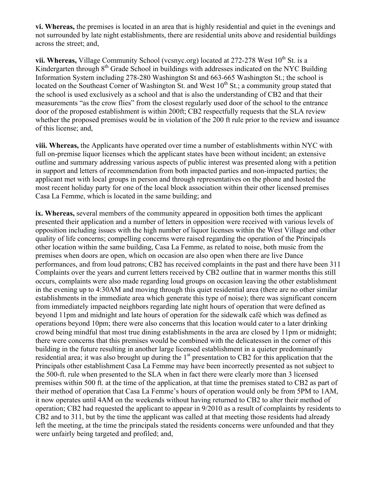**vi. Whereas,** the premises is located in an area that is highly residential and quiet in the evenings and not surrounded by late night establishments, there are residential units above and residential buildings across the street; and,

vii. Whereas, Village Community School (vcsnyc.org) located at 272-278 West 10<sup>th</sup> St. is a Kindergarten through 8th Grade School in buildings with addresses indicated on the NYC Building Information System including 278-280 Washington St and 663-665 Washington St.; the school is located on the Southeast Corner of Washington St. and West  $10<sup>th</sup>$  St.; a community group stated that the school is used exclusively as a school and that is also the understanding of CB2 and that their measurements "as the crow flies" from the closest regularly used door of the school to the entrance door of the proposed establishment is within 200ft; CB2 respectfully requests that the SLA review whether the proposed premises would be in violation of the 200 ft rule prior to the review and issuance of this license; and,

**viii. Whereas,** the Applicants have operated over time a number of establishments within NYC with full on-premise liquor licenses which the applicant states have been without incident; an extensive outline and summary addressing various aspects of public interest was presented along with a petition in support and letters of recommendation from both impacted parties and non-impacted parties; the applicant met with local groups in person and through representatives on the phone and hosted the most recent holiday party for one of the local block association within their other licensed premises Casa La Femme, which is located in the same building; and

**ix. Whereas,** several members of the community appeared in opposition both times the applicant presented their application and a number of letters in opposition were received with various levels of opposition including issues with the high number of liquor licenses within the West Village and other quality of life concerns; compelling concerns were raised regarding the operation of the Principals other location within the same building, Casa La Femme, as related to noise, both music from the premises when doors are open, which on occasion are also open when there are live Dance performances, and from loud patrons; CB2 has received complaints in the past and there have been 311 Complaints over the years and current letters received by CB2 outline that in warmer months this still occurs, complaints were also made regarding loud groups on occasion leaving the other establishment in the evening up to 4:30AM and moving through this quiet residential area (there are no other similar establishments in the immediate area which generate this type of noise); there was significant concern from immediately impacted neighbors regarding late night hours of operation that were defined as beyond 11pm and midnight and late hours of operation for the sidewalk café which was defined as operations beyond 10pm; there were also concerns that this location would cater to a later drinking crowd being mindful that most true dining establishments in the area are closed by 11pm or midnight; there were concerns that this premises would be combined with the delicatessen in the corner of this building in the future resulting in another large licensed establishment in a quieter predominantly residential area; it was also brought up during the 1<sup>st</sup> presentation to CB2 for this application that the Principals other establishment Casa La Femme may have been incorrectly presented as not subject to the 500-ft. rule when presented to the SLA when in fact there were clearly more than 3 licensed premises within 500 ft. at the time of the application, at that time the premises stated to CB2 as part of their method of operation that Casa La Femme's hours of operation would only be from 5PM to 1AM, it now operates until 4AM on the weekends without having returned to CB2 to alter their method of operation; CB2 had requested the applicant to appear in 9/2010 as a result of complaints by residents to CB2 and to 311, but by the time the applicant was called at that meeting those residents had already left the meeting, at the time the principals stated the residents concerns were unfounded and that they were unfairly being targeted and profiled; and,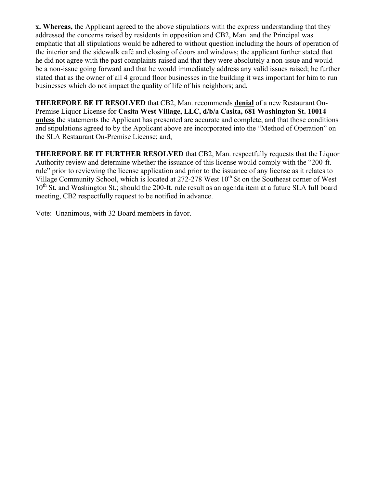**x. Whereas,** the Applicant agreed to the above stipulations with the express understanding that they addressed the concerns raised by residents in opposition and CB2, Man. and the Principal was emphatic that all stipulations would be adhered to without question including the hours of operation of the interior and the sidewalk café and closing of doors and windows; the applicant further stated that he did not agree with the past complaints raised and that they were absolutely a non-issue and would be a non-issue going forward and that he would immediately address any valid issues raised; he further stated that as the owner of all 4 ground floor businesses in the building it was important for him to run businesses which do not impact the quality of life of his neighbors; and,

**THEREFORE BE IT RESOLVED** that CB2, Man. recommends **denial** of a new Restaurant On-Premise Liquor License for **Casita West Village, LLC, d/b/a Casita, 681 Washington St. 10014 unless** the statements the Applicant has presented are accurate and complete, and that those conditions and stipulations agreed to by the Applicant above are incorporated into the "Method of Operation" on the SLA Restaurant On-Premise License; and,

**THEREFORE BE IT FURTHER RESOLVED** that CB2, Man. respectfully requests that the Liquor Authority review and determine whether the issuance of this license would comply with the "200-ft. rule" prior to reviewing the license application and prior to the issuance of any license as it relates to Village Community School, which is located at  $272-278$  West  $10<sup>th</sup>$  St on the Southeast corner of West  $10^{th}$  St. and Washington St.; should the 200-ft. rule result as an agenda item at a future SLA full board meeting, CB2 respectfully request to be notified in advance.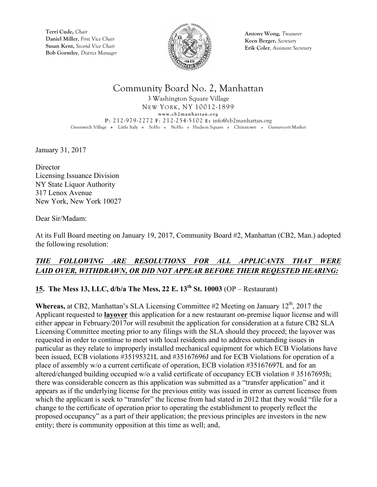

**Antony Wong,** *Treasurer* **Keen Berger,** *Secretary* **Erik Coler**, *Assistant Secretary*

### Community Board No. 2, Manhattan

3 Washington Square Village NEW YORK, NY 10012-1899 **www.cb2manhattan.org P**: 212-979-2272 **F**: 212-254-5102 **E:** info@cb2manhattan.org Greenwich Village • Little Italy • SoHo • NoHo • Hudson Square • Chinatown • Gansevoort Market

January 31, 2017

**Director** Licensing Issuance Division NY State Liquor Authority 317 Lenox Avenue New York, New York 10027

Dear Sir/Madam:

At its Full Board meeting on January 19, 2017, Community Board #2, Manhattan (CB2, Man.) adopted the following resolution:

### *THE FOLLOWING ARE RESOLUTIONS FOR ALL APPLICANTS THAT WERE LAID OVER, WITHDRAWN, OR DID NOT APPEAR BEFORE THEIR REQESTED HEARING:*

### **15. The Mess 13, LLC, d/b/a The Mess, 22 E. 13th St. 10003** (OP – Restaurant)

**Whereas,** at CB2, Manhattan's SLA Licensing Committee #2 Meeting on January  $12^{th}$ , 2017 the Applicant requested to **layover** this application for a new restaurant on-premise liquor license and will either appear in February/2017or will resubmit the application for consideration at a future CB2 SLA Licensing Committee meeting prior to any filings with the SLA should they proceed; the layover was requested in order to continue to meet with local residents and to address outstanding issues in particular as they relate to improperly installed mechanical equipment for which ECB Violations have been issued, ECB violations #35195321L and #35167696J and for ECB Violations for operation of a place of assembly w/o a current certificate of operation, ECB violation #35167697L and for an altered/changed building occupied w/o a valid certificate of occupancy ECB violation # 35167695h; there was considerable concern as this application was submitted as a "transfer application" and it appears as if the underlying license for the previous entity was issued in error as current licensee from which the applicant is seek to "transfer" the license from had stated in 2012 that they would "file for a change to the certificate of operation prior to operating the establishment to properly reflect the proposed occupancy" as a part of their application; the previous principles are investors in the new entity; there is community opposition at this time as well; and,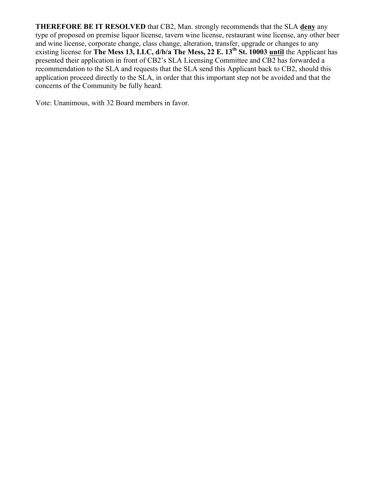**THEREFORE BE IT RESOLVED** that CB2, Man. strongly recommends that the SLA **deny** any type of proposed on premise liquor license, tavern wine license, restaurant wine license, any other beer and wine license, corporate change, class change, alteration, transfer, upgrade or changes to any existing license for **The Mess 13, LLC, d/b/a The Mess, 22 E. 13th St. 10003 until** the Applicant has presented their application in front of CB2's SLA Licensing Committee and CB2 has forwarded a recommendation to the SLA and requests that the SLA send this Applicant back to CB2, should this application proceed directly to the SLA, in order that this important step not be avoided and that the concerns of the Community be fully heard.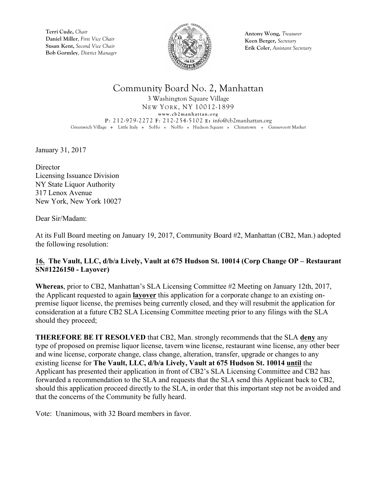

**Antony Wong,** *Treasurer* **Keen Berger,** *Secretary* **Erik Coler**, *Assistant Secretary*

### Community Board No. 2, Manhattan

3 Washington Square Village NEW YORK, NY 10012-1899 **www.cb2manhattan.org P**: 212-979-2272 **F**: 212-254-5102 **E:** info@cb2manhattan.org Greenwich Village • Little Italy • SoHo • NoHo • Hudson Square • Chinatown • Gansevoort Market

January 31, 2017

**Director** Licensing Issuance Division NY State Liquor Authority 317 Lenox Avenue New York, New York 10027

Dear Sir/Madam:

At its Full Board meeting on January 19, 2017, Community Board #2, Manhattan (CB2, Man.) adopted the following resolution:

#### **16. The Vault, LLC, d/b/a Lively, Vault at 675 Hudson St. 10014 (Corp Change OP – Restaurant SN#1226150 - Layover)**

**Whereas**, prior to CB2, Manhattan's SLA Licensing Committee #2 Meeting on January 12th, 2017, the Applicant requested to again **layover** this application for a corporate change to an existing onpremise liquor license, the premises being currently closed, and they will resubmit the application for consideration at a future CB2 SLA Licensing Committee meeting prior to any filings with the SLA should they proceed;

**THEREFORE BE IT RESOLVED** that CB2, Man. strongly recommends that the SLA **deny** any type of proposed on premise liquor license, tavern wine license, restaurant wine license, any other beer and wine license, corporate change, class change, alteration, transfer, upgrade or changes to any existing license for **The Vault, LLC, d/b/a Lively, Vault at 675 Hudson St. 10014 until** the Applicant has presented their application in front of CB2's SLA Licensing Committee and CB2 has forwarded a recommendation to the SLA and requests that the SLA send this Applicant back to CB2, should this application proceed directly to the SLA, in order that this important step not be avoided and that the concerns of the Community be fully heard.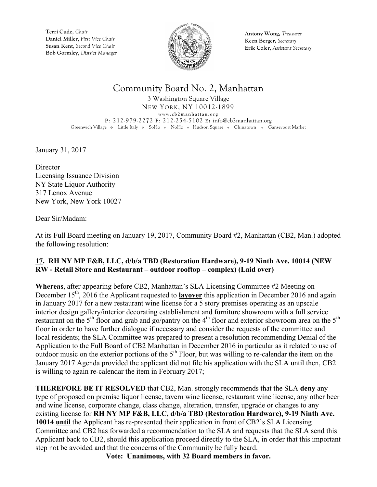

**Antony Wong,** *Treasurer* **Keen Berger,** *Secretary* **Erik Coler**, *Assistant Secretary*

### Community Board No. 2, Manhattan

3 Washington Square Village NEW YORK, NY 10012-1899 **www.cb2manhattan.org P**: 212-979-2272 **F**: 212-254-5102 **E:** info@cb2manhattan.org Greenwich Village • Little Italy • SoHo • NoHo • Hudson Square • Chinatown • Gansevoort Market

January 31, 2017

**Director** Licensing Issuance Division NY State Liquor Authority 317 Lenox Avenue New York, New York 10027

Dear Sir/Madam:

At its Full Board meeting on January 19, 2017, Community Board #2, Manhattan (CB2, Man.) adopted the following resolution:

#### **17. RH NY MP F&B, LLC, d/b/a TBD (Restoration Hardware), 9-19 Ninth Ave. 10014 (NEW RW - Retail Store and Restaurant – outdoor rooftop – complex) (Laid over)**

**Whereas**, after appearing before CB2, Manhattan's SLA Licensing Committee #2 Meeting on December 15<sup>th</sup>, 2016 the Applicant requested to **layover** this application in December 2016 and again in January 2017 for a new restaurant wine license for a 5 story premises operating as an upscale interior design gallery/interior decorating establishment and furniture showroom with a full service restaurant on the  $5<sup>th</sup>$  floor and grab and go/pantry on the 4<sup>th</sup> floor and exterior showroom area on the  $5<sup>th</sup>$ floor in order to have further dialogue if necessary and consider the requests of the committee and local residents; the SLA Committee was prepared to present a resolution recommending Denial of the Application to the Full Board of CB2 Manhattan in December 2016 in particular as it related to use of outdoor music on the exterior portions of the  $5<sup>th</sup>$  Floor, but was willing to re-calendar the item on the January 2017 Agenda provided the applicant did not file his application with the SLA until then, CB2 is willing to again re-calendar the item in February 2017;

**THEREFORE BE IT RESOLVED** that CB2, Man. strongly recommends that the SLA **deny** any type of proposed on premise liquor license, tavern wine license, restaurant wine license, any other beer and wine license, corporate change, class change, alteration, transfer, upgrade or changes to any existing license for **RH NY MP F&B, LLC, d/b/a TBD (Restoration Hardware), 9-19 Ninth Ave. 10014 until** the Applicant has re-presented their application in front of CB2's SLA Licensing Committee and CB2 has forwarded a recommendation to the SLA and requests that the SLA send this Applicant back to CB2, should this application proceed directly to the SLA, in order that this important step not be avoided and that the concerns of the Community be fully heard.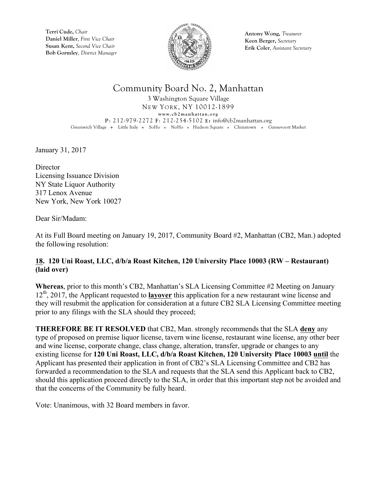

**Antony Wong,** *Treasurer* **Keen Berger,** *Secretary* **Erik Coler**, *Assistant Secretary*

## Community Board No. 2, Manhattan

3 Washington Square Village NEW YORK, NY 10012-1899 **www.cb2manhattan.org P**: 212-979-2272 **F**: 212-254-5102 **E:** info@cb2manhattan.org Greenwich Village • Little Italy • SoHo • NoHo • Hudson Square • Chinatown • Gansevoort Market

January 31, 2017

**Director** Licensing Issuance Division NY State Liquor Authority 317 Lenox Avenue New York, New York 10027

Dear Sir/Madam:

At its Full Board meeting on January 19, 2017, Community Board #2, Manhattan (CB2, Man.) adopted the following resolution:

### **18. 120 Uni Roast, LLC, d/b/a Roast Kitchen, 120 University Place 10003 (RW – Restaurant) (laid over)**

**Whereas**, prior to this month's CB2, Manhattan's SLA Licensing Committee #2 Meeting on January 12th, 2017, the Applicant requested to **layover** this application for a new restaurant wine license and they will resubmit the application for consideration at a future CB2 SLA Licensing Committee meeting prior to any filings with the SLA should they proceed;

**THEREFORE BE IT RESOLVED** that CB2, Man. strongly recommends that the SLA **deny** any type of proposed on premise liquor license, tavern wine license, restaurant wine license, any other beer and wine license, corporate change, class change, alteration, transfer, upgrade or changes to any existing license for **120 Uni Roast, LLC, d/b/a Roast Kitchen, 120 University Place 10003 until** the Applicant has presented their application in front of CB2's SLA Licensing Committee and CB2 has forwarded a recommendation to the SLA and requests that the SLA send this Applicant back to CB2, should this application proceed directly to the SLA, in order that this important step not be avoided and that the concerns of the Community be fully heard.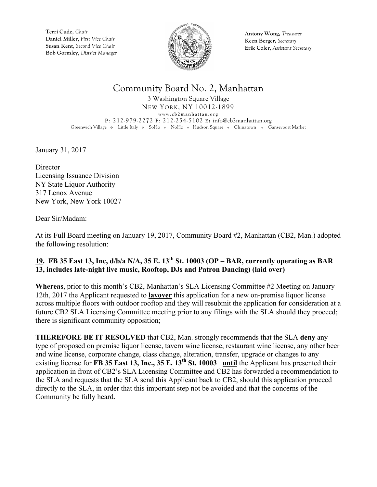

**Antony Wong,** *Treasurer* **Keen Berger,** *Secretary* **Erik Coler**, *Assistant Secretary*

## Community Board No. 2, Manhattan

3 Washington Square Village NEW YORK, NY 10012-1899 **www.cb2manhattan.org P**: 212-979-2272 **F**: 212-254-5102 **E:** info@cb2manhattan.org Greenwich Village • Little Italy • SoHo • NoHo • Hudson Square • Chinatown • Gansevoort Market

January 31, 2017

**Director** Licensing Issuance Division NY State Liquor Authority 317 Lenox Avenue New York, New York 10027

Dear Sir/Madam:

At its Full Board meeting on January 19, 2017, Community Board #2, Manhattan (CB2, Man.) adopted the following resolution:

### **19. FB 35 East 13, Inc, d/b/a N/A, 35 E. 13th St. 10003 (OP – BAR, currently operating as BAR 13, includes late-night live music, Rooftop, DJs and Patron Dancing) (laid over)**

**Whereas**, prior to this month's CB2, Manhattan's SLA Licensing Committee #2 Meeting on January 12th, 2017 the Applicant requested to **layover** this application for a new on-premise liquor license across multiple floors with outdoor rooftop and they will resubmit the application for consideration at a future CB2 SLA Licensing Committee meeting prior to any filings with the SLA should they proceed; there is significant community opposition;

**THEREFORE BE IT RESOLVED** that CB2, Man. strongly recommends that the SLA **deny** any type of proposed on premise liquor license, tavern wine license, restaurant wine license, any other beer and wine license, corporate change, class change, alteration, transfer, upgrade or changes to any existing license for **FB 35 East 13, Inc., 35 E. 13<sup>th</sup> St. 10003** until the Applicant has presented their application in front of CB2's SLA Licensing Committee and CB2 has forwarded a recommendation to the SLA and requests that the SLA send this Applicant back to CB2, should this application proceed directly to the SLA, in order that this important step not be avoided and that the concerns of the Community be fully heard.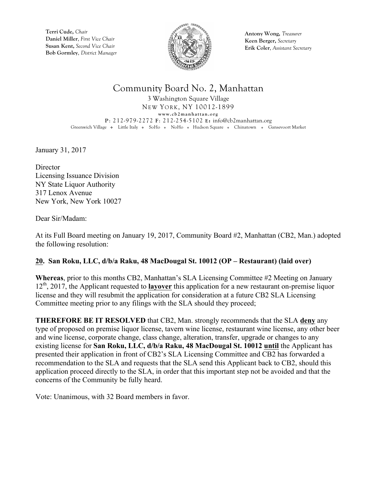

**Antony Wong,** *Treasurer* **Keen Berger,** *Secretary* **Erik Coler**, *Assistant Secretary*

## Community Board No. 2, Manhattan

3 Washington Square Village NEW YORK, NY 10012-1899 **www.cb2manhattan.org P**: 212-979-2272 **F**: 212-254-5102 **E:** info@cb2manhattan.org Greenwich Village • Little Italy • SoHo • NoHo • Hudson Square • Chinatown • Gansevoort Market

January 31, 2017

**Director** Licensing Issuance Division NY State Liquor Authority 317 Lenox Avenue New York, New York 10027

Dear Sir/Madam:

At its Full Board meeting on January 19, 2017, Community Board #2, Manhattan (CB2, Man.) adopted the following resolution:

### **20. San Roku, LLC, d/b/a Raku, 48 MacDougal St. 10012 (OP – Restaurant) (laid over)**

**Whereas**, prior to this months CB2, Manhattan's SLA Licensing Committee #2 Meeting on January 12th, 2017, the Applicant requested to **layover** this application for a new restaurant on-premise liquor license and they will resubmit the application for consideration at a future CB2 SLA Licensing Committee meeting prior to any filings with the SLA should they proceed;

**THEREFORE BE IT RESOLVED** that CB2, Man. strongly recommends that the SLA **deny** any type of proposed on premise liquor license, tavern wine license, restaurant wine license, any other beer and wine license, corporate change, class change, alteration, transfer, upgrade or changes to any existing license for **San Roku, LLC, d/b/a Raku, 48 MacDougal St. 10012 until** the Applicant has presented their application in front of CB2's SLA Licensing Committee and CB2 has forwarded a recommendation to the SLA and requests that the SLA send this Applicant back to CB2, should this application proceed directly to the SLA, in order that this important step not be avoided and that the concerns of the Community be fully heard.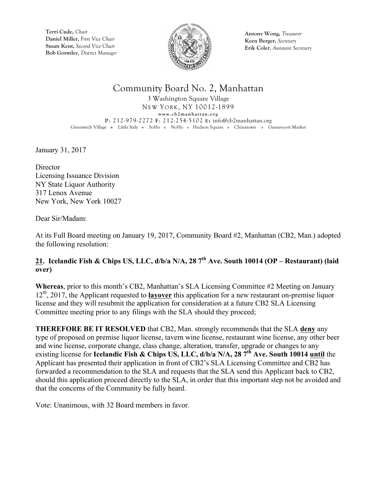

**Antony Wong,** *Treasurer* **Keen Berger,** *Secretary* **Erik Coler**, *Assistant Secretary*

## Community Board No. 2, Manhattan

3 Washington Square Village NEW YORK, NY 10012-1899 **www.cb2manhattan.org P**: 212-979-2272 **F**: 212-254-5102 **E:** info@cb2manhattan.org Greenwich Village • Little Italy • SoHo • NoHo • Hudson Square • Chinatown • Gansevoort Market

January 31, 2017

**Director** Licensing Issuance Division NY State Liquor Authority 317 Lenox Avenue New York, New York 10027

Dear Sir/Madam:

At its Full Board meeting on January 19, 2017, Community Board #2, Manhattan (CB2, Man.) adopted the following resolution:

### **21. Icelandic Fish & Chips US, LLC, d/b/a N/A, 28 7th Ave. South 10014 (OP – Restaurant) (laid over)**

**Whereas**, prior to this month's CB2, Manhattan's SLA Licensing Committee #2 Meeting on January 12th, 2017, the Applicant requested to **layover** this application for a new restaurant on-premise liquor license and they will resubmit the application for consideration at a future CB2 SLA Licensing Committee meeting prior to any filings with the SLA should they proceed;

**THEREFORE BE IT RESOLVED** that CB2, Man. strongly recommends that the SLA **deny** any type of proposed on premise liquor license, tavern wine license, restaurant wine license, any other beer and wine license, corporate change, class change, alteration, transfer, upgrade or changes to any existing license for **Icelandic Fish & Chips US, LLC, d/b/a N/A, 28 7th Ave. South 10014 until** the Applicant has presented their application in front of CB2's SLA Licensing Committee and CB2 has forwarded a recommendation to the SLA and requests that the SLA send this Applicant back to CB2, should this application proceed directly to the SLA, in order that this important step not be avoided and that the concerns of the Community be fully heard.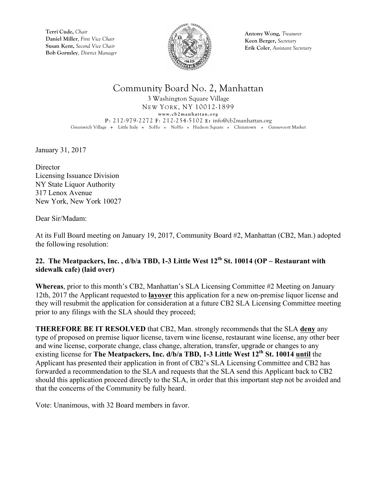

**Antony Wong,** *Treasurer* **Keen Berger,** *Secretary* **Erik Coler**, *Assistant Secretary*

## Community Board No. 2, Manhattan

3 Washington Square Village NEW YORK, NY 10012-1899 **www.cb2manhattan.org P**: 212-979-2272 **F**: 212-254-5102 **E:** info@cb2manhattan.org Greenwich Village • Little Italy • SoHo • NoHo • Hudson Square • Chinatown • Gansevoort Market

January 31, 2017

**Director** Licensing Issuance Division NY State Liquor Authority 317 Lenox Avenue New York, New York 10027

Dear Sir/Madam:

At its Full Board meeting on January 19, 2017, Community Board #2, Manhattan (CB2, Man.) adopted the following resolution:

### **22. The Meatpackers, Inc. , d/b/a TBD, 1-3 Little West 12th St. 10014 (OP – Restaurant with sidewalk cafe) (laid over)**

**Whereas**, prior to this month's CB2, Manhattan's SLA Licensing Committee #2 Meeting on January 12th, 2017 the Applicant requested to **layover** this application for a new on-premise liquor license and they will resubmit the application for consideration at a future CB2 SLA Licensing Committee meeting prior to any filings with the SLA should they proceed;

**THEREFORE BE IT RESOLVED** that CB2, Man. strongly recommends that the SLA **deny** any type of proposed on premise liquor license, tavern wine license, restaurant wine license, any other beer and wine license, corporate change, class change, alteration, transfer, upgrade or changes to any existing license for **The Meatpackers, Inc. d/b/a TBD, 1-3 Little West 12th St. 10014 until** the Applicant has presented their application in front of CB2's SLA Licensing Committee and CB2 has forwarded a recommendation to the SLA and requests that the SLA send this Applicant back to CB2 should this application proceed directly to the SLA, in order that this important step not be avoided and that the concerns of the Community be fully heard.